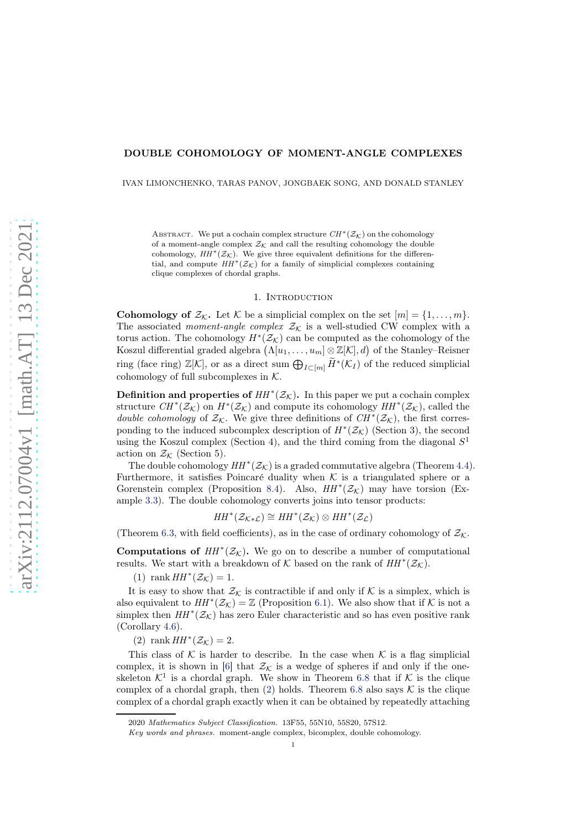#### DOUBLE COHOMOLOGY OF MOMENT-ANGLE COMPLEXES

IVAN LIMONCHENKO, TARAS PANOV, JONGBAEK SONG, AND DONALD STANLEY

ABSTRACT. We put a cochain complex structure  $CH^*(\mathcal{Z}_\mathcal{K})$  on the cohomology of a moment-angle complex  $\mathcal{Z}_K$  and call the resulting cohomology the double cohomology,  $HH^*(\mathcal{Z}_{\mathcal{K}})$ . We give three equivalent definitions for the differential, and compute  $HH^*(\mathcal{Z}_\mathcal{K})$  for a family of simplicial complexes containing clique complexes of chordal graphs.

#### 1. Introduction

**Cohomology of**  $\mathcal{Z}_\mathcal{K}$ **.** Let  $\mathcal{K}$  be a simplicial complex on the set  $[m] = \{1, \ldots, m\}$ . The associated *moment-angle complex*  $\mathcal{Z}_\mathcal{K}$  is a well-studied CW complex with a torus action. The cohomology  $H^*(\mathcal{Z}_\mathcal{K})$  can be computed as the cohomology of the Koszul differential graded algebra  $(\Lambda[u_1, \ldots, u_m] \otimes \mathbb{Z}[\mathcal{K}], d)$  of the Stanley–Reisner ring (face ring)  $\mathbb{Z}[\mathcal{K}]$ , or as a direct sum  $\bigoplus_{I\subset [m]} \widetilde{H}^*(\mathcal{K}_I)$  of the reduced simplicial cohomology of full subcomplexes in  $K$ .

**Definition and properties of**  $HH^*(\mathcal{Z}_\mathcal{K})$ . In this paper we put a cochain complex structure  $CH^*(\mathcal{Z}_\mathcal{K})$  on  $H^*(\mathcal{Z}_\mathcal{K})$  and compute its cohomology  $HH^*(\mathcal{Z}_\mathcal{K})$ , called the double cohomology of  $\mathcal{Z}_\mathcal{K}$ . We give three definitions of  $CH^*(\mathcal{Z}_\mathcal{K})$ , the first corresponding to the induced subcomplex description of  $H^*(\mathcal{Z}_\mathcal{K})$  (Section 3), the second using the Koszul complex (Section 4), and the third coming from the diagonal  $S<sup>1</sup>$ action on  $\mathcal{Z}_\mathcal{K}$  (Section 5).

The double cohomology  $HH^*(\mathcal{Z}_\mathcal{K})$  is a graded commutative algebra (Theorem [4.4\)](#page-8-0). Furthermore, it satisfies Poincaré duality when  $K$  is a triangulated sphere or a Gorenstein complex (Proposition [8.4\)](#page-21-0). Also,  $HH^*(\mathcal{Z}_\mathcal{K})$  may have torsion (Example [3.3\)](#page-5-0). The double cohomology converts joins into tensor products:

$$
HH^*(\mathcal{Z}_{\mathcal{K}\ast\mathcal{L}})\cong HH^*(\mathcal{Z}_{\mathcal{K}})\otimes HH^*(\mathcal{Z}_{\mathcal{L}})
$$

(Theorem [6.3,](#page-12-0) with field coefficients), as in the case of ordinary cohomology of  $\mathcal{Z}_{\mathcal{K}}$ .

**Computations of**  $HH^*(\mathcal{Z}_\mathcal{K})$ . We go on to describe a number of computational results. We start with a breakdown of  $K$  based on the rank of  $HH^*(\mathcal{Z}_\mathcal{K})$ .

(1) rank  $HH^*(\mathcal{Z}_\mathcal{K}) = 1$ .

 $\overline{I}$ 

It is easy to show that  $\mathcal{Z}_\mathcal{K}$  is contractible if and only if  $\mathcal K$  is a simplex, which is also equivalent to  $HH^*(\mathcal{Z}_\mathcal{K}) = \mathbb{Z}$  (Proposition [6.1\)](#page-11-0). We also show that if  $\mathcal K$  is not a simplex then  $HH^*(\mathcal{Z}_\mathcal{K})$  has zero Euler characteristic and so has even positive rank (Corollary [4.6\)](#page-9-0).

<span id="page-0-0"></span>(2) rank  $HH^*(\mathcal{Z}_{\mathcal{K}})=2$ .

This class of K is harder to describe. In the case when K is a flag simplicial complex, it is shown in [\[6\]](#page-24-0) that  $\mathcal{Z}_{\mathcal{K}}$  is a wedge of spheres if and only if the oneskeleton  $K^1$  is a chordal graph. We show in Theorem [6.8](#page-16-0) that if K is the clique complex of a chordal graph, then  $(2)$  holds. Theorem [6.8](#page-16-0) also says K is the clique complex of a chordal graph exactly when it can be obtained by repeatedly attaching

<sup>2020</sup> Mathematics Subject Classification. 13F55, 55N10, 55S20, 57S12.

Key words and phrases. moment-angle complex, bicomplex, double cohomology.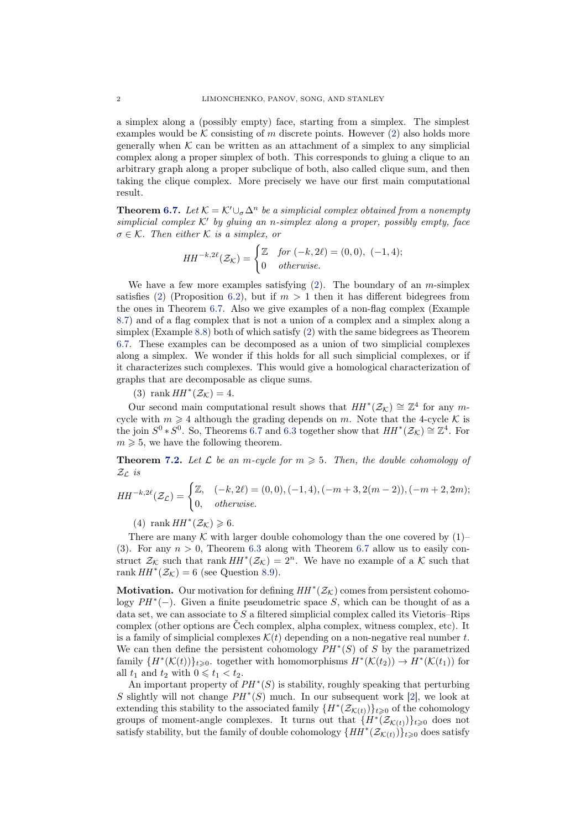a simplex along a (possibly empty) face, starting from a simplex. The simplest examples would be  $K$  consisting of m discrete points. However [\(2\)](#page-0-0) also holds more generally when  $K$  can be written as an attachment of a simplex to any simplicial complex along a proper simplex of both. This corresponds to gluing a clique to an arbitrary graph along a proper subclique of both, also called clique sum, and then taking the clique complex. More precisely we have our first main computational result.

**Theorem [6.7.](#page-15-0)** Let  $\mathcal{K} = \mathcal{K}' \cup_{\sigma} \Delta^n$  be a simplicial complex obtained from a nonempty simplicial complex  $K'$  by gluing an n-simplex along a proper, possibly empty, face  $\sigma \in \mathcal{K}$ . Then either K is a simplex, or

$$
HH^{-k,2\ell}(\mathcal{Z}_{\mathcal{K}}) = \begin{cases} \mathbb{Z} & \text{for } (-k,2\ell) = (0,0), (-1,4); \\ 0 & \text{otherwise.} \end{cases}
$$

We have a few more examples satisfying  $(2)$ . The boundary of an *m*-simplex satisfies [\(2\)](#page-0-0) (Proposition [6.2\)](#page-12-1), but if  $m > 1$  then it has different bidegrees from the ones in Theorem [6.7.](#page-15-0) Also we give examples of a non-flag complex (Example [8.7\)](#page-22-0) and of a flag complex that is not a union of a complex and a simplex along a simplex (Example [8.8\)](#page-23-0) both of which satisfy [\(2\)](#page-0-0) with the same bidegrees as Theorem [6.7.](#page-15-0) These examples can be decomposed as a union of two simplicial complexes along a simplex. We wonder if this holds for all such simplicial complexes, or if it characterizes such complexes. This would give a homological characterization of graphs that are decomposable as clique sums.

(3) rank  $HH^*(\mathcal{Z}_\mathcal{K})=4$ .

Our second main computational result shows that  $HH^*(\mathcal{Z}_\mathcal{K}) \cong \mathbb{Z}^4$  for any mcycle with  $m \geq 4$  although the grading depends on m. Note that the 4-cycle K is the join  $S^0 * S^0$ . So, Theorems [6.7](#page-15-0) and [6.3](#page-12-0) together show that  $HH^*(\mathcal{Z}_\mathcal{K}) \cong \mathbb{Z}^4$ . For  $m \geqslant 5$ , we have the following theorem.

**Theorem [7.2.](#page-17-0)** Let  $\mathcal{L}$  be an m-cycle for  $m \geq 5$ . Then, the double cohomology of  $\mathcal{Z}_{\mathcal{L}}$  is

$$
HH^{-k,2\ell}(\mathcal{Z}_{\mathcal{L}}) = \begin{cases} \mathbb{Z}, & (-k,2\ell) = (0,0), (-1,4), (-m+3,2(m-2)), (-m+2,2m); \\ 0, & otherwise. \end{cases}
$$

(4) rank  $HH^*(\mathcal{Z}_\mathcal{K}) \geqslant 6$ .

There are many  $K$  with larger double cohomology than the one covered by  $(1)$ (3). For any  $n > 0$ , Theorem [6.3](#page-12-0) along with Theorem [6.7](#page-15-0) allow us to easily construct  $\mathcal{Z}_\mathcal{K}$  such that rank  $HH^*(\mathcal{Z}_\mathcal{K}) = 2^n$ . We have no example of a  $\mathcal{K}$  such that rank  $HH^*(\mathcal{Z}_{\mathcal{K}}) = 6$  (see Question [8.9\)](#page-23-1).

**Motivation.** Our motivation for defining  $HH^*(\mathcal{Z}_\mathcal{K})$  comes from persistent cohomology  $PH<sup>*</sup>(-)$ . Given a finite pseudometric space S, which can be thought of as a data set, we can associate to  $S$  a filtered simplicial complex called its Vietoris–Rips complex (other options are Čech complex, alpha complex, witness complex, etc). It is a family of simplicial complexes  $\mathcal{K}(t)$  depending on a non-negative real number t. We can then define the persistent cohomology  $PH^*(S)$  of S by the parametrized family  ${H^*(\mathcal{K}(t))}_{t\geqslant0}$ . together with homomorphisms  $H^*(\mathcal{K}(t_2)) \to H^*(\mathcal{K}(t_1))$  for all  $t_1$  and  $t_2$  with  $0 \leq t_1 < t_2$ .

An important property of  $PH^*(S)$  is stability, roughly speaking that perturbing S slightly will not change  $PH^*(S)$  much. In our subsequent work [\[2\]](#page-24-1), we look at extending this stability to the associated family  $\{H^*(\mathcal{Z}_{\mathcal{K}(t)})\}_{t\geqslant0}$  of the cohomology groups of moment-angle complexes. It turns out that  $\{H^*(\mathcal{Z}_{\mathcal{K}(t)})\}_{t\geqslant0}$  does not satisfy stability, but the family of double cohomology  $\{HH^*(\mathcal{Z}_{\mathcal{K}(t)})\}_{t\geqslant0}$  does satisfy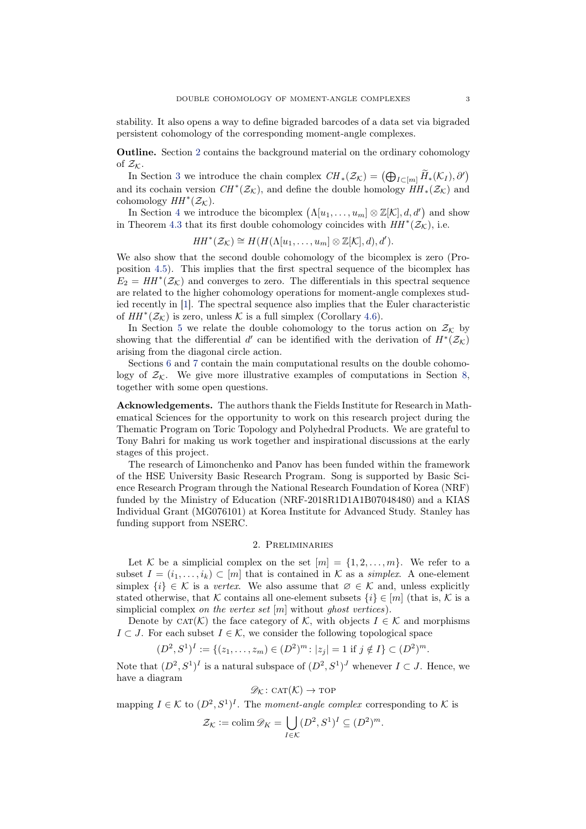stability. It also opens a way to define bigraded barcodes of a data set via bigraded persistent cohomology of the corresponding moment-angle complexes.

Outline. Section [2](#page-2-0) contains the background material on the ordinary cohomology of  $\mathcal{Z}_\mathcal{K}$ .

In Section [3](#page-4-0) we introduce the chain complex  $CH_*(\mathcal{Z}_\mathcal{K}) = (\bigoplus_{I \subset [m]} \widetilde{H}_*(\mathcal{K}_I), \partial')$ and its cochain version  $CH^*(\mathcal{Z}_\mathcal{K})$ , and define the double homology  $HH_*(\mathcal{Z}_\mathcal{K})$  and cohomology  $HH^*(\mathcal{Z}_\mathcal{K})$ .

In Section [4](#page-6-0) we introduce the bicomplex  $(\Lambda[u_1,\ldots,u_m] \otimes \mathbb{Z}[\mathcal{K}],d,d')$  and show in Theorem [4.3](#page-7-0) that its first double cohomology coincides with  $HH^*(\mathcal{Z}_{\mathcal{K}})$ , i.e.

$$
HH^*(\mathcal{Z}_{\mathcal{K}}) \cong H(H(\Lambda[u_1,\ldots,u_m] \otimes \mathbb{Z}[\mathcal{K}],d),d').
$$

We also show that the second double cohomology of the bicomplex is zero (Proposition [4.5\)](#page-8-1). This implies that the first spectral sequence of the bicomplex has  $E_2 = HH^*(\mathcal{Z}_{\mathcal{K}})$  and converges to zero. The differentials in this spectral sequence are related to the higher cohomology operations for moment-angle complexes studied recently in [\[1\]](#page-24-2). The spectral sequence also implies that the Euler characteristic of  $HH^*(\mathcal{Z}_\mathcal{K})$  is zero, unless  $\mathcal K$  is a full simplex (Corollary [4.6\)](#page-9-0).

In Section [5](#page-10-0) we relate the double cohomology to the torus action on  $\mathcal{Z}_K$  by showing that the differential d' can be identified with the derivation of  $H^*(\mathcal{Z}_\mathcal{K})$ arising from the diagonal circle action.

Sections [6](#page-11-1) and [7](#page-17-1) contain the main computational results on the double cohomology of  $\mathcal{Z}_{\mathcal{K}}$ . We give more illustrative examples of computations in Section [8,](#page-20-0) together with some open questions.

Acknowledgements. The authors thank the Fields Institute for Research in Mathematical Sciences for the opportunity to work on this research project during the Thematic Program on Toric Topology and Polyhedral Products. We are grateful to Tony Bahri for making us work together and inspirational discussions at the early stages of this project.

The research of Limonchenko and Panov has been funded within the framework of the HSE University Basic Research Program. Song is supported by Basic Science Research Program through the National Research Foundation of Korea (NRF) funded by the Ministry of Education (NRF-2018R1D1A1B07048480) and a KIAS Individual Grant (MG076101) at Korea Institute for Advanced Study. Stanley has funding support from NSERC.

#### 2. Preliminaries

<span id="page-2-0"></span>Let K be a simplicial complex on the set  $[m] = \{1, 2, \ldots, m\}$ . We refer to a subset  $I = (i_1, \ldots, i_k) \subset [m]$  that is contained in K as a simplex. A one-element simplex  $\{i\} \in \mathcal{K}$  is a vertex. We also assume that  $\emptyset \in \mathcal{K}$  and, unless explicitly stated otherwise, that K contains all one-element subsets  $\{i\} \in [m]$  (that is, K is a simplicial complex *on the vertex set*  $[m]$  without *ghost vertices*).

Denote by CAT(K) the face category of K, with objects  $I \in \mathcal{K}$  and morphisms  $I \subset J$ . For each subset  $I \in \mathcal{K}$ , we consider the following topological space

$$
(D^2, S^1)^I := \{ (z_1, \dots, z_m) \in (D^2)^m : |z_j| = 1 \text{ if } j \notin I \} \subset (D^2)^m.
$$

Note that  $(D^2, S^1)^I$  is a natural subspace of  $(D^2, S^1)^J$  whenever  $I \subset J$ . Hence, we have a diagram

$$
\mathscr{D}_{\mathcal{K}}\colon \mathrm{CAT}(\mathcal{K}) \to \mathrm{TOP}
$$

mapping  $I \in \mathcal{K}$  to  $(D^2, S^1)^I$ . The moment-angle complex corresponding to  $\mathcal{K}$  is

$$
\mathcal{Z}_\mathcal{K} := \operatorname{colim} \mathscr{D}_K = \bigcup_{I \in \mathcal{K}} (D^2, S^1)^I \subseteq (D^2)^m.
$$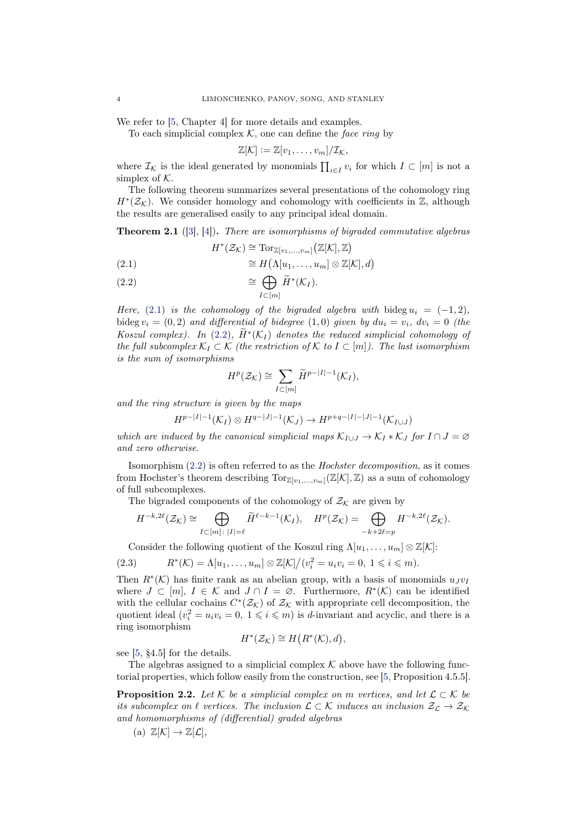We refer to [\[5,](#page-24-3) Chapter 4] for more details and examples.

To each simplicial complex  $K$ , one can define the face ring by

$$
\mathbb{Z}[\mathcal{K}] := \mathbb{Z}[v_1,\ldots,v_m]/\mathcal{I}_{\mathcal{K}},
$$

where  $\mathcal{I}_{\mathcal{K}}$  is the ideal generated by monomials  $\prod_{i\in I} v_i$  for which  $I \subset [m]$  is not a simplex of  $K$ .

The following theorem summarizes several presentations of the cohomology ring  $H^*(\mathcal{Z}_\mathcal{K})$ . We consider homology and cohomology with coefficients in  $\mathbb{Z}$ , although the results are generalised easily to any principal ideal domain.

<span id="page-3-2"></span>**Theorem 2.1** ([\[3\]](#page-24-4), [\[4\]](#page-24-5)). There are isomorphisms of bigraded commutative algebras

$$
H^*(\mathcal{Z}_{\mathcal{K}}) \cong \mathrm{Tor}_{\mathbb{Z}[v_1,...,v_m]} \big(\mathbb{Z}[\mathcal{K}],\mathbb{Z}\big)
$$

<span id="page-3-0"></span>(2.1) 
$$
\cong H(\Lambda[u_1,\ldots,u_m] \otimes \mathbb{Z}[\mathcal{K}],d)
$$

<span id="page-3-1"></span>(2.2) 
$$
\cong \bigoplus_{I \subset [m]} \widetilde{H}^*(\mathcal{K}_I).
$$

Here, [\(2.1\)](#page-3-0) is the cohomology of the bigraded algebra with bideg  $u_i = (-1, 2)$ , bideg  $v_i = (0, 2)$  and differential of bidegree  $(1, 0)$  given by  $du_i = v_i$ ,  $dv_i = 0$  (the Koszul complex). In [\(2.2\)](#page-3-1),  $\hat{H}^*(\mathcal{K}_I)$  denotes the reduced simplicial cohomology of the full subcomplex  $\mathcal{K}_I \subset \mathcal{K}$  (the restriction of  $\mathcal{K}$  to  $I \subset [m]$ ). The last isomorphism is the sum of isomorphisms

$$
H^p(\mathcal{Z}_\mathcal{K}) \cong \sum_{I \subset [m]} \widetilde{H}^{p-|I|-1}(\mathcal{K}_I),
$$

and the ring structure is given by the maps

$$
H^{p-|I|-1}(\mathcal{K}_I) \otimes H^{q-|J|-1}(\mathcal{K}_J) \to H^{p+q-|I|-|J|-1}(\mathcal{K}_{I \cup J})
$$

which are induced by the canonical simplicial maps  $\mathcal{K}_{I\cup J} \to \mathcal{K}_I * \mathcal{K}_J$  for  $I \cap J = \emptyset$ and zero otherwise.

Isomorphism [\(2.2\)](#page-3-1) is often referred to as the Hochster decomposition, as it comes from Hochster's theorem describing  $Tor_{\mathbb{Z}[v_1,...,v_m]}(\mathbb{Z}[\mathcal{K}],\mathbb{Z})$  as a sum of cohomology of full subcomplexes.

The bigraded components of the cohomology of  $\mathcal{Z}_K$  are given by

$$
H^{-k,2\ell}(\mathcal{Z}_{\mathcal{K}}) \cong \bigoplus_{I \subset [m]: \; |I| = \ell} \widetilde{H}^{\ell-k-1}(\mathcal{K}_I), \quad H^p(\mathcal{Z}_{\mathcal{K}}) = \bigoplus_{-k+2\ell=p} H^{-k,2\ell}(\mathcal{Z}_{\mathcal{K}}).
$$

Consider the following quotient of the Koszul ring  $\Lambda[u_1, \ldots, u_m] \otimes \mathbb{Z}[\mathcal{K}]$ :

(2.3) 
$$
R^*(\mathcal{K}) = \Lambda[u_1, \dots, u_m] \otimes \mathbb{Z}[\mathcal{K}]/(v_i^2 = u_i v_i = 0, 1 \leq i \leq m).
$$

Then  $R^*(\mathcal{K})$  has finite rank as an abelian group, with a basis of monomials  $u_Jv_I$ where  $J \subset [m], I \in \mathcal{K}$  and  $J \cap I = \emptyset$ . Furthermore,  $R^*(\mathcal{K})$  can be identified with the cellular cochains  $C^*(\mathcal{Z}_\mathcal{K})$  of  $\mathcal{Z}_\mathcal{K}$  with appropriate cell decomposition, the quotient ideal  $(v_i^2 = u_i v_i = 0, 1 \leq i \leq m)$  is d-invariant and acyclic, and there is a ring isomorphism

$$
H^*(\mathcal{Z}_{\mathcal{K}}) \cong H\big(R^*(\mathcal{K}),d\big),
$$

see [\[5,](#page-24-3) §4.5] for the details.

<span id="page-3-3"></span>The algebras assigned to a simplicial complex  $K$  above have the following functorial properties, which follow easily from the construction, see [\[5,](#page-24-3) Proposition 4.5.5].

**Proposition 2.2.** Let K be a simplicial complex on m vertices, and let  $\mathcal{L} \subset \mathcal{K}$  be its subcomplex on  $\ell$  vertices. The inclusion  $\mathcal{L} \subset \mathcal{K}$  induces an inclusion  $\mathcal{Z}_\mathcal{L} \to \mathcal{Z}_\mathcal{K}$ and homomorphisms of (differential) graded algebras

(a) 
$$
\mathbb{Z}[\mathcal{K}] \to \mathbb{Z}[\mathcal{L}],
$$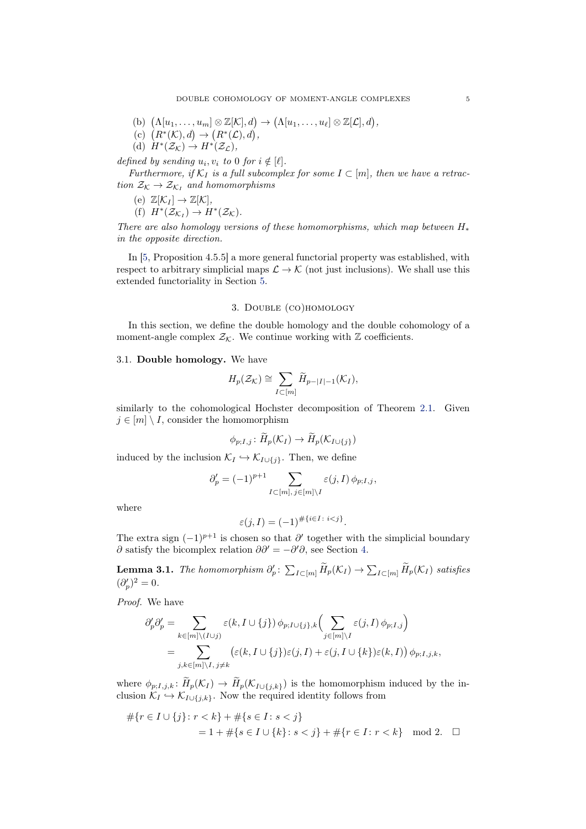- (b)  $(\Lambda[u_1,\ldots,u_m]\otimes \mathbb{Z}[\mathcal{K}],d) \to (\Lambda[u_1,\ldots,u_\ell]\otimes \mathbb{Z}[\mathcal{L}],d),$
- (c)  $(R^*(\mathcal{K}), d) \to (R^*(\mathcal{L}), d),$
- (d)  $H^*(\mathcal{Z}_\mathcal{K}) \to H^*(\mathcal{Z}_\mathcal{L}),$

defined by sending  $u_i, v_i$  to 0 for  $i \notin [\ell]$ .

Furthermore, if  $\mathcal{K}_I$  is a full subcomplex for some  $I \subset [m]$ , then we have a retraction  $\mathcal{Z}_{\mathcal{K}} \to \mathcal{Z}_{\mathcal{K}_I}$  and homomorphisms

(e)  $\mathbb{Z}[\mathcal{K}_I] \to \mathbb{Z}[\mathcal{K}],$ (f)  $H^*(\mathcal{Z}_{\mathcal{K}_I}) \to H^*(\mathcal{Z}_{\mathcal{K}}).$ 

There are also homology versions of these homomorphisms, which map between  $H_*$ in the opposite direction.

In [\[5,](#page-24-3) Proposition 4.5.5] a more general functorial property was established, with respect to arbitrary simplicial maps  $\mathcal{L} \to \mathcal{K}$  (not just inclusions). We shall use this extended functoriality in Section [5.](#page-10-0)

# 3. Double (co)homology

<span id="page-4-0"></span>In this section, we define the double homology and the double cohomology of a moment-angle complex  $\mathcal{Z}_{\mathcal{K}}$ . We continue working with  $\mathbb Z$  coefficients.

# <span id="page-4-2"></span>3.1. Double homology. We have

$$
H_p(\mathcal{Z}_\mathcal{K}) \cong \sum_{I \subset [m]} \widetilde{H}_{p-|I|-1}(\mathcal{K}_I),
$$

similarly to the cohomological Hochster decomposition of Theorem [2.1.](#page-3-2) Given  $j \in [m] \setminus I$ , consider the homomorphism

$$
\phi_{p;I,j} \colon \overline{H}_p(\mathcal{K}_I) \to \overline{H}_p(\mathcal{K}_{I \cup \{j\}})
$$

induced by the inclusion  $\mathcal{K}_I \hookrightarrow \mathcal{K}_{I\cup\{j\}}$ . Then, we define

$$
\partial'_p = (-1)^{p+1} \sum_{I \subset [m], j \in [m] \backslash I} \varepsilon(j, I) \phi_{p; I, j},
$$

where

$$
\varepsilon(j,I) = (-1)^{\#\{i \in I : i < j\}}.
$$

<span id="page-4-1"></span>The extra sign  $(-1)^{p+1}$  is chosen so that  $\partial'$  together with the simplicial boundary  $\partial$  satisfy the bicomplex relation  $\partial \partial' = -\partial' \partial$ , see Section [4.](#page-6-0)

**Lemma 3.1.** The homomorphism  $\partial'_p$ :  $\sum_{I\subset [m]} \widetilde{H}_p(\mathcal{K}_I) \to \sum_{I\subset [m]} \widetilde{H}_p(\mathcal{K}_I)$  satisfies  $(\partial_p')^2=0.$ 

Proof. We have

$$
\partial'_p \partial'_p = \sum_{k \in [m] \backslash (I \cup j)} \varepsilon(k, I \cup \{j\}) \phi_{p; I \cup \{j\}, k} \Big( \sum_{j \in [m] \backslash I} \varepsilon(j, I) \phi_{p; I, j} \Big)
$$
  
= 
$$
\sum_{j, k \in [m] \backslash I, j \neq k} \big( \varepsilon(k, I \cup \{j\}) \varepsilon(j, I) + \varepsilon(j, I \cup \{k\}) \varepsilon(k, I) \big) \phi_{p; I, j, k},
$$

where  $\phi_{p,I,j,k} : H_p(\mathcal{K}_I) \to H_p(\mathcal{K}_{I \cup \{j,k\}})$  is the homomorphism induced by the inclusion  $\mathcal{K}_I \hookrightarrow \mathcal{K}_{I\cup \{j,k\}}$ . Now the required identity follows from

$$
#{r \in I \cup \{j\} : r < k} + #{s \in I : s < j}
$$
\n
$$
= 1 + #{s \in I \cup \{k\} : s < j} + #{r \in I : r < k} \mod 2. \square
$$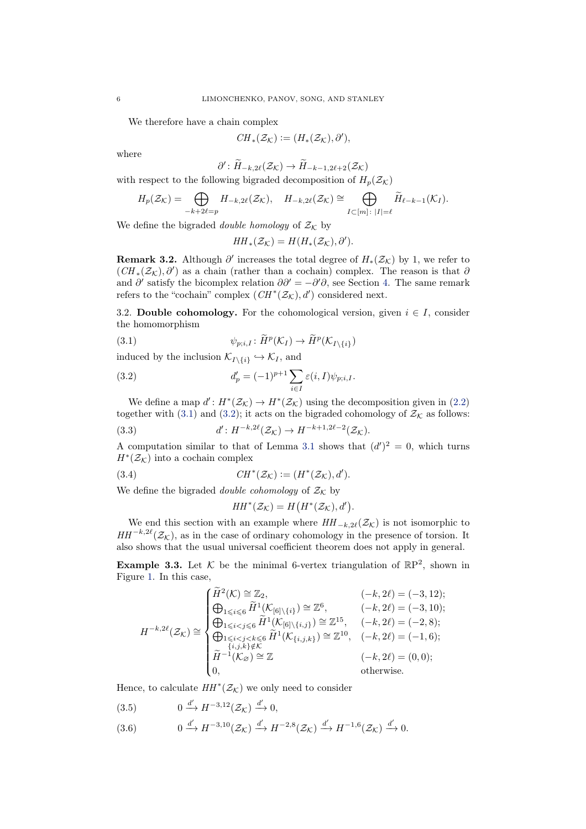We therefore have a chain complex

$$
CH_*(\mathcal{Z_K}):=(H_*(\mathcal{Z_K}),\partial'),
$$

where

$$
\partial': \widetilde{H}_{-k,2\ell}(\mathcal{Z}_{\mathcal{K}}) \to \widetilde{H}_{-k-1,2\ell+2}(\mathcal{Z}_{\mathcal{K}})
$$

with respect to the following bigraded decomposition of  $H_p(\mathcal{Z}_\mathcal{K})$ 

$$
H_p(\mathcal{Z}_\mathcal{K}) = \bigoplus_{-k+2\ell=p} H_{-k,2\ell}(\mathcal{Z}_\mathcal{K}), \quad H_{-k,2\ell}(\mathcal{Z}_\mathcal{K}) \cong \bigoplus_{I \subset [m]: |I| = \ell} \widetilde{H}_{\ell-k-1}(\mathcal{K}_I).
$$

We define the bigraded *double homology* of  $\mathcal{Z}_\mathcal{K}$  by

<span id="page-5-1"></span>
$$
HH_*({\mathcal Z}_{{\mathcal K}})=H(H_*({\mathcal Z}_{{\mathcal K}}),\partial').
$$

**Remark 3.2.** Although  $\partial'$  increases the total degree of  $H_*(\mathcal{Z}_\mathcal{K})$  by 1, we refer to  $(CH<sub>*</sub>(\mathcal{Z}<sub>K</sub>), \partial')$  as a chain (rather than a cochain) complex. The reason is that  $\partial$ and  $\partial'$  satisfy the bicomplex relation  $\partial \partial' = -\partial' \partial$ , see Section [4.](#page-6-0) The same remark refers to the "cochain" complex  $(CH^*(\mathcal{Z}_\mathcal{K}), d')$  considered next.

<span id="page-5-5"></span>3.2. Double cohomology. For the cohomological version, given  $i \in I$ , consider the homomorphism

(3.1) 
$$
\psi_{p;i,I} \colon \widetilde{H}^p(\mathcal{K}_I) \to \widetilde{H}^p(\mathcal{K}_{I \setminus \{i\}})
$$

induced by the inclusion  $\mathcal{K}_{I\setminus\{i\}} \hookrightarrow \mathcal{K}_{I}$ , and

<span id="page-5-2"></span>(3.2) 
$$
d'_{p} = (-1)^{p+1} \sum_{i \in I} \varepsilon(i, I) \psi_{p;i,I}.
$$

We define a map  $d' : H^*(\mathcal{Z}_\mathcal{K}) \to H^*(\mathcal{Z}_\mathcal{K})$  using the decomposition given in [\(2.2\)](#page-3-1) together with [\(3.1\)](#page-5-1) and [\(3.2\)](#page-5-2); it acts on the bigraded cohomology of  $\mathcal{Z}_\mathcal{K}$  as follows:

(3.3) 
$$
d': H^{-k,2\ell}(\mathcal{Z}_{\mathcal{K}}) \to H^{-k+1,2\ell-2}(\mathcal{Z}_{\mathcal{K}}).
$$

A computation similar to that of Lemma [3.1](#page-4-1) shows that  $(d')^2 = 0$ , which turns  $H^*(\mathcal{Z}_\mathcal{K})$  into a cochain complex

(3.4) 
$$
CH^*(\mathcal{Z}_\mathcal{K}) := (H^*(\mathcal{Z}_\mathcal{K}), d').
$$

We define the bigraded *double cohomology* of  $\mathcal{Z}_\mathcal{K}$  by

<span id="page-5-4"></span>
$$
HH^*(\mathcal{Z}_{\mathcal{K}}) = H\big(H^*(\mathcal{Z}_{\mathcal{K}}), d'\big).
$$

We end this section with an example where  $HH_{-k,2\ell}(\mathcal{Z}_{\mathcal{K}})$  is not isomorphic to  $HH^{-k,2\ell}(\mathcal{Z}_{\mathcal{K}})$ , as in the case of ordinary cohomology in the presence of torsion. It also shows that the usual universal coefficient theorem does not apply in general.

<span id="page-5-0"></span>**Example 3.3.** Let K be the minimal 6-vertex triangulation of  $\mathbb{R}P^2$ , shown in Figure [1.](#page-6-1) In this case,

$$
H^{-k,2\ell}(\mathcal{Z}_{\mathcal{K}}) \cong \begin{cases} \widetilde{H}^{2}(\mathcal{K}) \cong \mathbb{Z}_{2}, & (-k,2\ell) = (-3,12); \\ \bigoplus_{1 \leq i \leq 6} \widetilde{H}^{1}(\mathcal{K}_{[6]\setminus\{i\}}) \cong \mathbb{Z}^{6}, & (-k,2\ell) = (-3,10); \\ \bigoplus_{1 \leq i < j \leq 6} \widetilde{H}^{1}(\mathcal{K}_{[6]\setminus\{i,j\}}) \cong \mathbb{Z}^{15}, & (-k,2\ell) = (-2,8); \\ \bigoplus_{1 \leq i < j < k \leq 6} \widetilde{H}^{1}(\mathcal{K}_{\{i,j,k\}}) \cong \mathbb{Z}^{10}, & (-k,2\ell) = (-1,6); \\ \widetilde{H}^{-1}(\mathcal{K}_{\varnothing}) \cong \mathbb{Z} & & (-k,2\ell) = (0,0); \\ 0, & \text{otherwise.} \end{cases}
$$

Hence, to calculate  $HH^*(\mathcal{Z}_\mathcal{K})$  we only need to consider

<span id="page-5-3"></span>
$$
(3.5) \t 0 \xrightarrow{d'} H^{-3,12}(\mathcal{Z}_{\mathcal{K}}) \xrightarrow{d'} 0,
$$

(3.6)  $0 \xrightarrow{d'} H^{-3,10}(\mathcal{Z}_{\mathcal{K}}) \xrightarrow{d'} H^{-2,8}(\mathcal{Z}_{\mathcal{K}}) \xrightarrow{d'} H^{-1,6}(\mathcal{Z}_{\mathcal{K}}) \xrightarrow{d'} 0.$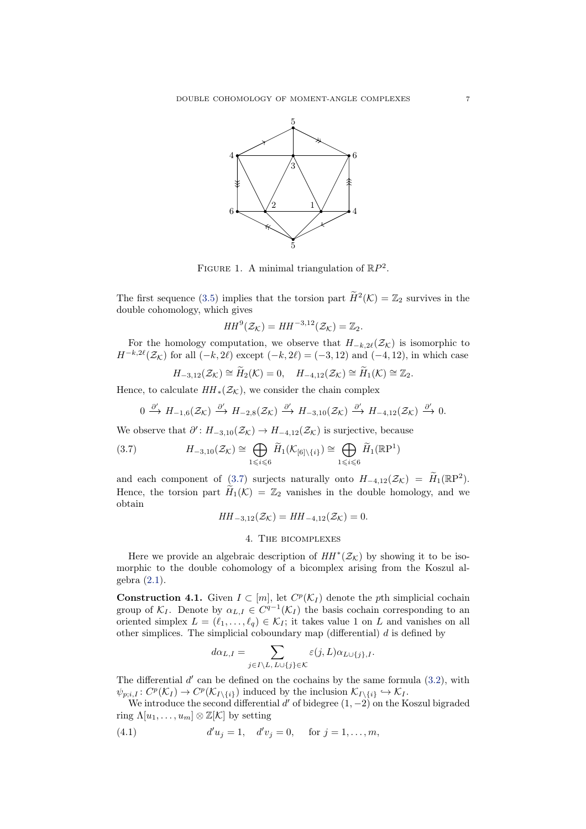<span id="page-6-1"></span>

FIGURE 1. A minimal triangulation of  $\mathbb{R}P^2$ .

The first sequence [\(3.5\)](#page-5-3) implies that the torsion part  $\widetilde{H}^2(\mathcal{K}) = \mathbb{Z}_2$  survives in the double cohomology, which gives

$$
HH^{9}(\mathcal{Z}_{\mathcal{K}})=HH^{-3,12}(\mathcal{Z}_{\mathcal{K}})=\mathbb{Z}_{2}.
$$

For the homology computation, we observe that  $H_{-k,2\ell}(\mathcal{Z}_\mathcal{K})$  is isomorphic to  $H^{-k,2\ell}(\mathcal{Z}_\mathcal{K})$  for all  $(-k,2\ell)$  except  $(-k,2\ell) = (-3,12)$  and  $(-4,12)$ , in which case

$$
H_{-3,12}(\mathcal{Z}_{\mathcal{K}})\cong \widetilde{H}_2(\mathcal{K})=0,\quad H_{-4,12}(\mathcal{Z}_{\mathcal{K}})\cong \widetilde{H}_1(\mathcal{K})\cong \mathbb{Z}_2.
$$

Hence, to calculate  $HH_*(\mathcal{Z}_\mathcal{K})$ , we consider the chain complex

<span id="page-6-2"></span>
$$
0 \xrightarrow{\partial'} H_{-1,6}(\mathcal{Z}_{\mathcal{K}}) \xrightarrow{\partial'} H_{-2,8}(\mathcal{Z}_{\mathcal{K}}) \xrightarrow{\partial'} H_{-3,10}(\mathcal{Z}_{\mathcal{K}}) \xrightarrow{\partial'} H_{-4,12}(\mathcal{Z}_{\mathcal{K}}) \xrightarrow{\partial'} 0.
$$

We observe that  $\partial' : H_{-3,10}(\mathcal{Z}_{\mathcal{K}}) \to H_{-4,12}(\mathcal{Z}_{\mathcal{K}})$  is surjective, because

(3.7) 
$$
H_{-3,10}(\mathcal{Z}_{\mathcal{K}}) \cong \bigoplus_{1 \leq i \leq 6} \widetilde{H}_1(\mathcal{K}_{[6]\setminus\{i\}}) \cong \bigoplus_{1 \leq i \leq 6} \widetilde{H}_1(\mathbb{R}P^1)
$$

and each component of  $(3.7)$  surjects naturally onto  $H_{-4,12}(\mathcal{Z}_\mathcal{K}) = H_1(\mathbb{R}P^2)$ . Hence, the torsion part  $H_1(\mathcal{K}) = \mathbb{Z}_2$  vanishes in the double homology, and we obtain

$$
HH_{-3,12}(\mathcal{Z}_{\mathcal{K}}) = HH_{-4,12}(\mathcal{Z}_{\mathcal{K}}) = 0.
$$

## 4. The bicomplexes

<span id="page-6-0"></span>Here we provide an algebraic description of  $HH^*(\mathcal{Z}_\mathcal{K})$  by showing it to be isomorphic to the double cohomology of a bicomplex arising from the Koszul algebra [\(2.1\)](#page-3-0).

**Construction 4.1.** Given  $I \subset [m]$ , let  $C^p(\mathcal{K}_I)$  denote the pth simplicial cochain group of  $\mathcal{K}_I$ . Denote by  $\alpha_{L,I} \in C^{q-1}(\mathcal{K}_I)$  the basis cochain corresponding to an oriented simplex  $L = (\ell_1, \ldots, \ell_q) \in \mathcal{K}_I$ ; it takes value 1 on L and vanishes on all other simplices. The simplicial coboundary map (differential)  $d$  is defined by

<span id="page-6-3"></span>
$$
d\alpha_{L,I}=\sum_{j\in I\backslash L,\,L\cup\{j\}\in\mathcal{K}}\varepsilon(j,L)\alpha_{L\cup\{j\},I}.
$$

The differential  $d'$  can be defined on the cochains by the same formula  $(3.2)$ , with  $\psi_{p;i,I}: C^p(\mathcal{K}_I) \to C^p(\mathcal{K}_{I\setminus\{i\}})$  induced by the inclusion  $\mathcal{K}_{I\setminus\{i\}} \hookrightarrow \mathcal{K}_I$ .

We introduce the second differential  $d'$  of bidegree  $(1, -2)$  on the Koszul bigraded ring  $\Lambda[u_1,\ldots,u_m]\otimes\mathbb{Z}[\mathcal{K}]$  by setting

(4.1) 
$$
d'u_j = 1, \quad d'v_j = 0, \quad \text{for } j = 1, ..., m,
$$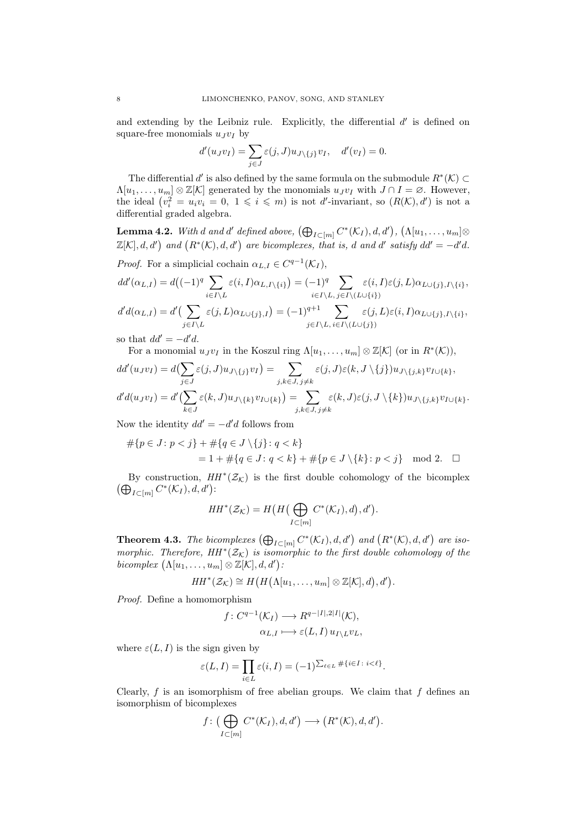and extending by the Leibniz rule. Explicitly, the differential  $d'$  is defined on square-free monomials  $u_J v_I$  by

$$
d'(u_Jv_I) = \sum_{j \in J} \varepsilon(j, J) u_{J \setminus \{j\}} v_I, \quad d'(v_I) = 0.
$$

The differential d' is also defined by the same formula on the submodule  $R^*(\mathcal{K}) \subset$  $\Lambda[u_1,\ldots,u_m]\otimes\mathbb{Z}[\mathcal{K}]$  generated by the monomials  $u_Jv_I$  with  $J\cap I=\varnothing$ . However, the ideal  $(v_i^2 = u_i v_i = 0, 1 \leq i \leq m)$  is not d'-invariant, so  $(R(K), d')$  is not a differential graded algebra.

**Lemma 4.2.** With  $d$  and  $d'$  defined above,  $(\bigoplus_{I\subset [m]} C^*(\mathcal{K}_I), d, d')$ ,  $(\Lambda[u_1, \ldots, u_m]\otimes$  $\mathbb{Z}[\mathcal{K}], d, d'$  and  $(R^*(\mathcal{K}), d, d')$  are bicomplexes, that is, d and d' satisfy  $dd' = -d'd$ .

*Proof.* For a simplicial cochain  $\alpha_{L,I} \in C^{q-1}(\mathcal{K}_I)$ ,

$$
dd'(\alpha_{L,I}) = d\left((-1)^q \sum_{i \in I \setminus L} \varepsilon(i, I)\alpha_{L,I \setminus \{i\}}\right) = (-1)^q \sum_{i \in I \setminus L} \varepsilon(i, I)\varepsilon(j, L)\alpha_{L \cup \{j\}, I \setminus \{i\}},
$$
  

$$
d'd(\alpha_{L,I}) = d' \Big(\sum_{j \in I \setminus L} \varepsilon(j, L)\alpha_{L \cup \{j\}, I}\Big) = (-1)^{q+1} \sum_{j \in I \setminus L, i \in I \setminus (L \cup \{j\})} \varepsilon(j, L)\varepsilon(i, I)\alpha_{L \cup \{j\}, I \setminus \{i\}},
$$

so that  $dd' = -d'd$ .

For a monomial  $u_J v_I$  in the Koszul ring  $\Lambda[u_1,\ldots,u_m]\otimes \mathbb{Z}[\mathcal{K}]$  (or in  $R^*(\mathcal{K})$ ),

$$
dd'(u_Jv_I) = d\left(\sum_{j\in J}\varepsilon(j,J)u_{J\setminus\{j\}}v_I\right) = \sum_{j,k\in J,\,j\neq k}\varepsilon(j,J)\varepsilon(k,J\setminus\{j\})u_{J\setminus\{j,k\}}v_{I\cup\{k\}},
$$
  

$$
d'd(u_Jv_I) = d'\left(\sum_{k\in J}\varepsilon(k,J)u_{J\setminus\{k\}}v_{I\cup\{k\}}\right) = \sum_{j,k\in J,\,j\neq k}\varepsilon(k,J)\varepsilon(j,J\setminus\{k\})u_{J\setminus\{j,k\}}v_{I\cup\{k\}}.
$$

Now the identity  $dd' = -d'd$  follows from

$$
#\{p \in J : p < j\} + #\{q \in J \setminus \{j\} : q < k\} \\
 = 1 + #\{q \in J : q < k\} + #\{p \in J \setminus \{k\} : p < j\} \mod 2. \Box
$$

By construction,  $HH^*(\mathcal{Z}_\mathcal{K})$  is the first double cohomology of the bicomplex  $(\bigoplus_{I\subset [m]} C^*(\mathcal{K}_I), d, d')$ :

$$
HH^*(\mathcal{Z}_{\mathcal{K}}) = H\big(H\big(\bigoplus_{I \subset [m]} C^*(\mathcal{K}_I), d\big), d'\big).
$$

<span id="page-7-0"></span>**Theorem 4.3.** The bicomplexes  $(\bigoplus_{I\subset [m]} C^*(\mathcal{K}_I), d, d')$  and  $(R^*(\mathcal{K}), d, d')$  are isomorphic. Therefore,  $HH^*(\mathcal{Z}_\mathcal{K})$  is isomorphic to the first double cohomology of the bicomplex  $(\Lambda[u_1,\ldots,u_m]\otimes \mathbb{Z}[\mathcal{K}],d,d')$ :

$$
HH^*(\mathcal{Z}_{\mathcal{K}}) \cong H\big(H\big(\Lambda[u_1,\ldots,u_m]\otimes \mathbb{Z}[\mathcal{K}],d\big),d'\big).
$$

Proof. Define a homomorphism

$$
f: C^{q-1}(\mathcal{K}_I) \longrightarrow R^{q-|I|,2|I|}(\mathcal{K}),
$$

$$
\alpha_{L,I} \longmapsto \varepsilon(L,I) \, u_{I \setminus L} v_L,
$$

where  $\varepsilon(L, I)$  is the sign given by

$$
\varepsilon(L,I) = \prod_{i \in L} \varepsilon(i,I) = (-1)^{\sum_{\ell \in L} \# \{i \in I \colon i < \ell\}}.
$$

Clearly,  $f$  is an isomorphism of free abelian groups. We claim that  $f$  defines an isomorphism of bicomplexes

$$
f\colon \big(\bigoplus_{I\subset [m]} C^*(\mathcal{K}_I), d, d'\big) \longrightarrow \big(R^*(\mathcal{K}), d, d'\big).
$$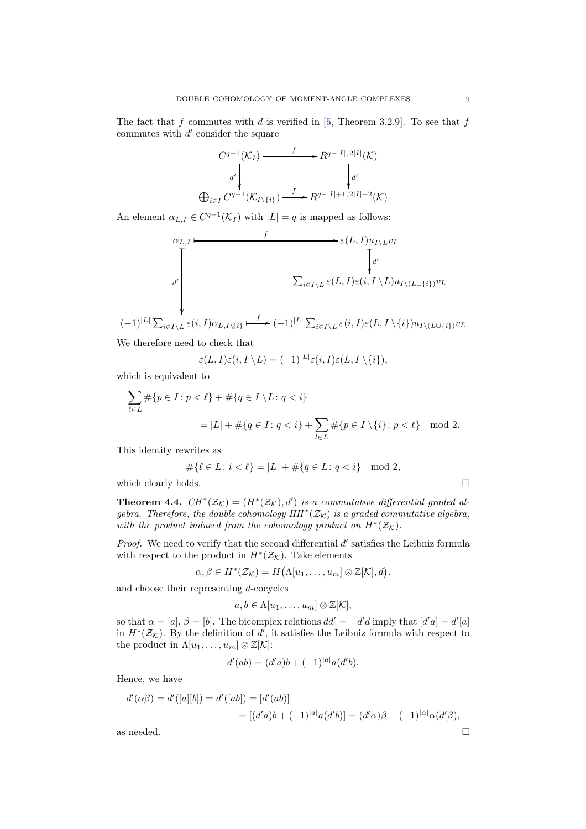The fact that  $f$  commutes with  $d$  is verified in [\[5,](#page-24-3) Theorem 3.2.9]. To see that  $f$ commutes with  $d'$  consider the square

$$
C^{q-1}(\mathcal{K}_I) \xrightarrow{f} R^{q-|I|, 2|I|}(\mathcal{K})
$$

$$
d' \downarrow d'
$$

$$
\bigoplus_{i \in I} C^{q-1}(\mathcal{K}_{I \setminus \{i\}}) \xrightarrow{f} R^{q-|I|+1, 2|I|-2}(\mathcal{K})
$$

An element  $\alpha_{L,I} \in C^{q-1}(\mathcal{K}_I)$  with  $|L|=q$  is mapped as follows:

$$
\alpha_{L,I} \longmapsto \varepsilon(L,I)u_{I \setminus L}v_L
$$
\n
$$
\downarrow d'
$$
\n
$$
\sum_{i \in I \setminus L} \varepsilon(L,I) \varepsilon(i,I \setminus L)u_{I \setminus (L \cup \{i\})}v_L
$$
\n
$$
(-1)^{|L|} \sum_{i \in I \setminus L} \varepsilon(i,I) \alpha_{L,I \setminus \{i\}} \longmapsto (-1)^{|L|} \sum_{i \in I \setminus L} \varepsilon(i,I) \varepsilon(L,I \setminus \{i\})u_{I \setminus (L \cup \{i\})}v_L
$$

We therefore need to check that

$$
\varepsilon(L,I)\varepsilon(i,I\setminus L) = (-1)^{|L|}\varepsilon(i,I)\varepsilon(L,I\setminus\{i\}),
$$

which is equivalent to

$$
\sum_{\ell \in L} \# \{ p \in I : p < \ell \} + \# \{ q \in I \setminus L : q < i \}
$$
\n
$$
= |L| + \# \{ q \in I : q < i \} + \sum_{l \in L} \# \{ p \in I \setminus \{ i \} : p < \ell \} \mod 2.
$$

This identity rewrites as

$$
\#\{\ell \in L \colon i < \ell\} = |L| + \#\{q \in L \colon q < i\} \mod 2,
$$

<span id="page-8-0"></span>which clearly holds.  $\Box$ 

**Theorem 4.4.**  $CH^*(\mathcal{Z}_\mathcal{K}) = (H^*(\mathcal{Z}_\mathcal{K}), d')$  is a commutative differential graded algebra. Therefore, the double cohomology  $HH^*(\mathcal{Z}_{\mathcal{K}})$  is a graded commutative algebra, with the product induced from the cohomology product on  $H^*(\mathcal{Z}_\mathcal{K})$ .

Proof. We need to verify that the second differential d' satisfies the Leibniz formula with respect to the product in  $H^*(\mathcal{Z}_\mathcal{K})$ . Take elements

$$
\alpha, \beta \in H^*(\mathcal{Z}_{\mathcal{K}}) = H(\Lambda[u_1, \ldots, u_m] \otimes \mathbb{Z}[\mathcal{K}], d).
$$

and choose their representing d-cocycles

$$
a,b\in \Lambda[u_1,\ldots,u_m]\otimes \mathbb{Z}[\mathcal{K}],
$$

so that  $\alpha = [a], \beta = [b]$ . The bicomplex relations  $dd' = -d'd$  imply that  $[d'a] = d'[a]$ in  $H^*(\mathcal{Z}_\mathcal{K})$ . By the definition of d', it satisfies the Leibniz formula with respect to the product in  $\Lambda[u_1,\ldots,u_m]\otimes \mathbb{Z}[\mathcal{K}]:$ 

$$
d'(ab) = (d'a)b + (-1)^{|a|}a(d'b).
$$

Hence, we have

$$
d'(\alpha\beta) = d'([a][b]) = d'([ab]) = [d'(ab)]
$$
  
= 
$$
[(d'a)b + (-1)^{|a|}a(d'b)] = (d'\alpha)\beta + (-1)^{|\alpha|}\alpha(d'\beta),
$$

<span id="page-8-1"></span>as needed.  $\hfill \square$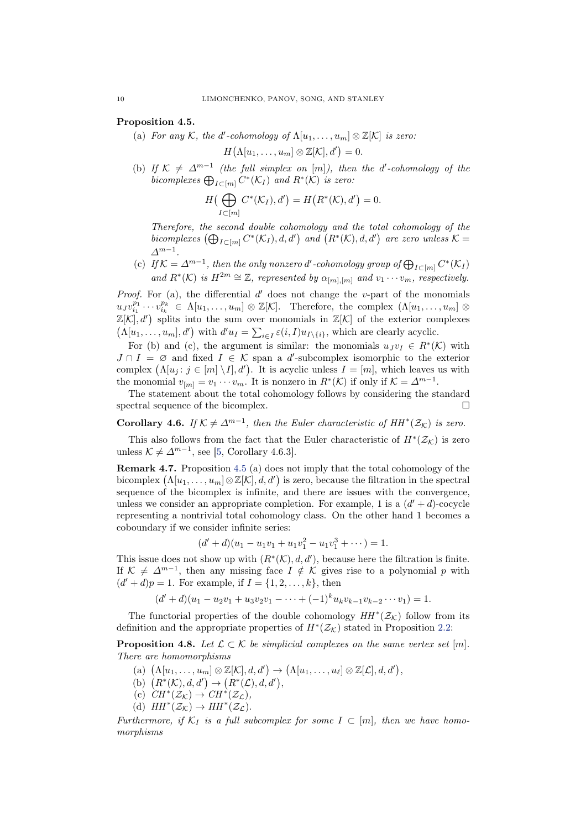# Proposition 4.5.

(a) For any K, the d'-cohomology of  $\Lambda[u_1,\ldots,u_m]\otimes \mathbb{Z}[\mathcal{K}]$  is zero:

 $H($ 

$$
\Lambda[u_1,\ldots,u_m]\otimes \mathbb{Z}[\mathcal{K}],d'\bigr)=0.
$$

(b) If  $K \neq \Delta^{m-1}$  (the full simplex on [m]), then the d'-cohomology of the bicomplexes  $\bigoplus_{I \subset [m]} C^*(\mathcal{K}_I)$  and  $R^*(\mathcal{K})$  is zero:

$$
H\left(\bigoplus_{I\subset[m]} C^*(\mathcal{K}_I),d'\right)=H\left(R^*(\mathcal{K}),d'\right)=0.
$$

Therefore, the second double cohomology and the total cohomology of the bicomplexes  $(\bigoplus_{I\subset [m]} C^*(\mathcal{K}_I), d, d')$  and  $(R^*(\mathcal{K}), d, d')$  are zero unless  $\mathcal{K} =$  $\varDelta^{m-1}$ .

(c) If  $\mathcal{K} = \Delta^{m-1}$ , then the only nonzero d'-cohomology group of  $\bigoplus_{I \subset [m]} C^*(\mathcal{K}_I)$ and  $R^*(\mathcal{K})$  is  $H^{2m} \cong \mathbb{Z}$ , represented by  $\alpha_{[m],[m]}$  and  $v_1 \cdots v_m$ , respectively.

*Proof.* For (a), the differential  $d'$  does not change the v-part of the monomials  $u_J v_{i_1}^{p_1} \cdots v_{i_k}^{p_k} \in \Lambda[u_1,\ldots,u_m] \otimes \mathbb{Z}[\mathcal{K}].$  Therefore, the complex  $(\Lambda[u_1,\ldots,u_m] \otimes$  $\mathbb{Z}[\mathcal{K}], d'$  splits into the sum over monomials in  $\mathbb{Z}[\mathcal{K}]$  of the exterior complexes  $(\Lambda[u_1,\ldots,u_m],d')$  with  $d'u_I = \sum_{i\in I} \varepsilon(i,I)u_{I\setminus\{i\}},$  which are clearly acyclic.

For (b) and (c), the argument is similar: the monomials  $u_J v_I \in R^*(\mathcal{K})$  with  $J \cap I = \emptyset$  and fixed  $I \in \mathcal{K}$  span a d'-subcomplex isomorphic to the exterior complex  $(\Lambda[u_j : j \in [m] \setminus I], d')$ . It is acyclic unless  $I = [m]$ , which leaves us with the monomial  $v_{[m]} = v_1 \cdots v_m$ . It is nonzero in  $R^*(\mathcal{K})$  if only if  $\mathcal{K} = \Delta^{m-1}$ .

The statement about the total cohomology follows by considering the standard spectral sequence of the bicomplex.

<span id="page-9-0"></span>**Corollary 4.6.** If  $K \neq \Delta^{m-1}$ , then the Euler characteristic of  $HH^*(\mathcal{Z}_\mathcal{K})$  is zero.

This also follows from the fact that the Euler characteristic of  $H^*(\mathcal{Z}_\mathcal{K})$  is zero unless  $\mathcal{K} \neq \Delta^{m-1}$ , see [\[5,](#page-24-3) Corollary 4.6.3].

Remark 4.7. Proposition [4.5](#page-8-1) (a) does not imply that the total cohomology of the bicomplex  $(\Lambda[u_1,\ldots,u_m]\otimes \mathbb{Z}[\mathcal{K}],d,d')$  is zero, because the filtration in the spectral sequence of the bicomplex is infinite, and there are issues with the convergence, unless we consider an appropriate completion. For example, 1 is a  $(d' + d)$ -cocycle representing a nontrivial total cohomology class. On the other hand 1 becomes a coboundary if we consider infinite series:

$$
(d'+d)(u_1-u_1v_1+u_1v_1^2-u_1v_1^3+\cdots)=1.
$$

This issue does not show up with  $(R^*(\mathcal{K}), d, d')$ , because here the filtration is finite. If  $\mathcal{K} \neq \Delta^{m-1}$ , then any missing face  $I \notin \mathcal{K}$  gives rise to a polynomial p with  $(d' + d)p = 1$ . For example, if  $I = \{1, 2, ..., k\}$ , then

$$
(d'+d)(u_1-u_2v_1+u_3v_2v_1-\cdots+(-1)^ku_kv_{k-1}v_{k-2}\cdots v_1)=1.
$$

The functorial properties of the double cohomology  $HH^*(\mathcal{Z}_{\mathcal{K}})$  follow from its definition and the appropriate properties of  $H^*(\mathcal{Z}_\mathcal{K})$  stated in Proposition [2.2:](#page-3-3)

<span id="page-9-1"></span>**Proposition 4.8.** Let  $\mathcal{L} \subset \mathcal{K}$  be simplicial complexes on the same vertex set [m]. There are homomorphisms

- (a)  $(\Lambda[u_1,\ldots,u_m]\otimes \mathbb{Z}[\mathcal{K}],d,d')\to (\Lambda[u_1,\ldots,u_\ell]\otimes \mathbb{Z}[\mathcal{L}],d,d'),$
- (b)  $(R^*(\mathcal{K}), d, d') \rightarrow (R^*(\mathcal{L}), d, d'),$
- (c)  $CH^*(\mathcal{Z}_\mathcal{K}) \to CH^*(\mathcal{Z}_\mathcal{L}),$
- (d)  $HH^*(\mathcal{Z}_\mathcal{K}) \to HH^*(\mathcal{Z}_\mathcal{L}).$

Furthermore, if  $K_I$  is a full subcomplex for some  $I \subset [m]$ , then we have homomorphisms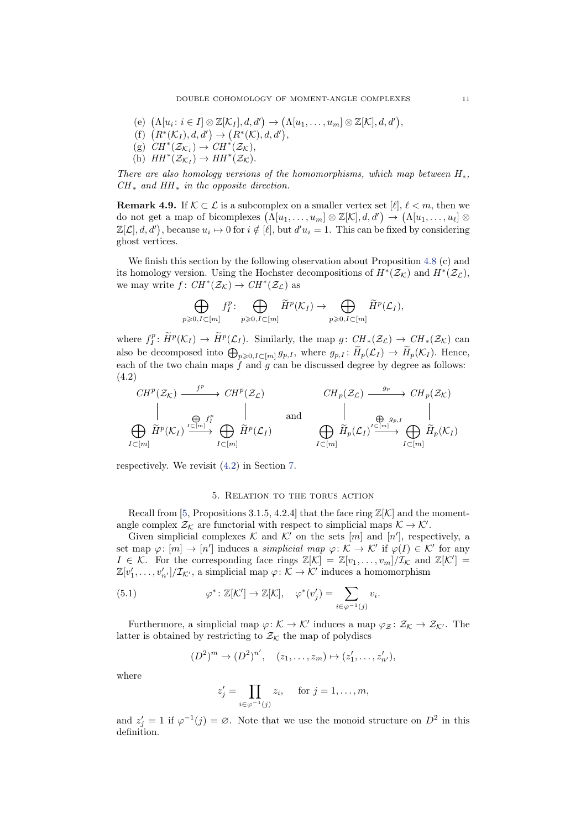- (e)  $(\Lambda[u_i : i \in I] \otimes \mathbb{Z}[\mathcal{K}_I], d, d') \to (\Lambda[u_1, \ldots, u_m] \otimes \mathbb{Z}[\mathcal{K}], d, d'),$
- (f)  $(R^*(\mathcal{K}_I), d, d') \rightarrow (R^*(\mathcal{K}), d, d'),$
- (g)  $CH^*(\mathcal{Z}_{\mathcal{K}_I}) \to CH^*(\mathcal{Z}_{\mathcal{K}}),$
- (h)  $HH^*(\mathcal{Z}_{\mathcal{K}_I}) \to HH^*(\mathcal{Z}_{\mathcal{K}}).$

There are also homology versions of the homomorphisms, which map between  $H_*$ ,  $CH_*$  and  $HH_*$  in the opposite direction.

**Remark 4.9.** If  $K \subset \mathcal{L}$  is a subcomplex on a smaller vertex set  $[\ell], \ell < m$ , then we do not get a map of bicomplexes  $(\Lambda[u_1,\ldots,u_m]\otimes \mathbb{Z}[\mathcal{K}],d,d')\rightarrow (\Lambda[u_1,\ldots,u_\ell]\otimes$  $\mathbb{Z}[\mathcal{L}], d, d'$ , because  $u_i \mapsto 0$  for  $i \notin [\ell],$  but  $d'u_i = 1$ . This can be fixed by considering ghost vertices.

We finish this section by the following observation about Proposition [4.8](#page-9-1) (c) and its homology version. Using the Hochster decompositions of  $H^*(\mathcal{Z}_\mathcal{K})$  and  $H^*(\mathcal{Z}_\mathcal{L})$ , we may write  $f: CH^*(\mathcal{Z}_\mathcal{K}) \to CH^*(\mathcal{Z}_\mathcal{L})$  as

$$
\bigoplus_{p\geqslant 0, I\subset [m]} f_I^p\colon \bigoplus_{p\geqslant 0, I\subset [m]} \widetilde{H}^p(\mathcal{K}_I) \to \bigoplus_{p\geqslant 0, I\subset [m]} \widetilde{H}^p(\mathcal{L}_I),
$$

where  $f_I^p: \widetilde{H}^p(\mathcal{K}_I) \to \widetilde{H}^p(\mathcal{L}_I)$ . Similarly, the map  $g: \mathop{CH}_*(\mathcal{Z}_\mathcal{L}) \to \mathop{CH}_*(\mathcal{Z}_\mathcal{K})$  can also be decomposed into  $\bigoplus_{p\geqslant 0, I\subset [m]} g_{p,I}$ , where  $g_{p,I} \colon \widetilde{H}_p(\mathcal{L}_I) \to \widetilde{H}_p(\mathcal{K}_I)$ . Hence, each of the two chain maps  $\hat{f}$  and  $\hat{g}$  can be discussed degree by degree as follows: (4.2)

<span id="page-10-1"></span>
$$
\begin{array}{ccc}\nCH^p(\mathcal{Z}_{\mathcal{K}}) & \xrightarrow{f^p} & CH^p(\mathcal{Z}_{\mathcal{L}}) & & \downarrow & \downarrow \\
\parallel & & \oplus_{f^p \atop I \subset [m]} & \downarrow & \downarrow & \downarrow \\
\bigoplus_{I \subset [m]} \widetilde{H}^p(\mathcal{K}_I) & \xrightarrow{I \subset [m]} & \widetilde{H}^p(\mathcal{L}_I) & & \bigoplus_{I \subset [m]} \widetilde{H}_p(\mathcal{L}_I) \xrightarrow{f \subset [m]} & \bigoplus_{I \subset [m]} \widetilde{H}_p(\mathcal{K}_I)\n\end{array}
$$

<span id="page-10-0"></span>respectively. We revisit [\(4.2\)](#page-10-1) in Section [7.](#page-17-1)

### 5. Relation to the torus action

Recall from [\[5,](#page-24-3) Propositions 3.1.5, 4.2.4] that the face ring  $\mathbb{Z}[\mathcal{K}]$  and the momentangle complex  $\mathcal{Z}_{\mathcal{K}}$  are functorial with respect to simplicial maps  $\mathcal{K} \to \mathcal{K}'$ .

Given simplicial complexes  $K$  and  $K'$  on the sets  $[m]$  and  $[n']$ , respectively, a set map  $\varphi: [m] \to [n']$  induces a *simplicial map*  $\varphi: \mathcal{K} \to \mathcal{K}'$  if  $\varphi(I) \in \mathcal{K}'$  for any  $I \in \mathcal{K}$ . For the corresponding face rings  $\mathbb{Z}[\mathcal{K}] = \mathbb{Z}[v_1,\ldots,v_m]/\mathcal{I_K}$  and  $\mathbb{Z}[\mathcal{K}'] =$  $\mathbb{Z}[v'_1,\ldots,v'_{n'}]/\mathcal{I}_{\mathcal{K}'},$  a simplicial map  $\varphi\colon \mathcal{K}\to \mathcal{K}'$  induces a homomorphism

(5.1) 
$$
\varphi^* : \mathbb{Z}[\mathcal{K}'] \to \mathbb{Z}[\mathcal{K}], \quad \varphi^*(v_j') = \sum_{i \in \varphi^{-1}(j)} v_i.
$$

Furthermore, a simplicial map  $\varphi: \mathcal{K} \to \mathcal{K}'$  induces a map  $\varphi_{\mathcal{Z}}: \mathcal{Z}_{\mathcal{K}} \to \mathcal{Z}_{\mathcal{K}'}$ . The latter is obtained by restricting to  $\mathcal{Z}_\mathcal{K}$  the map of polydiscs

<span id="page-10-2"></span>
$$
(D^2)^m \to (D^2)^{n'}, \quad (z_1, \ldots, z_m) \mapsto (z'_1, \ldots, z'_{n'}),
$$

where

$$
z'_{j} = \prod_{i \in \varphi^{-1}(j)} z_{i}, \quad \text{ for } j = 1, \dots, m,
$$

and  $z_j' = 1$  if  $\varphi^{-1}(j) = \varnothing$ . Note that we use the monoid structure on  $D^2$  in this definition.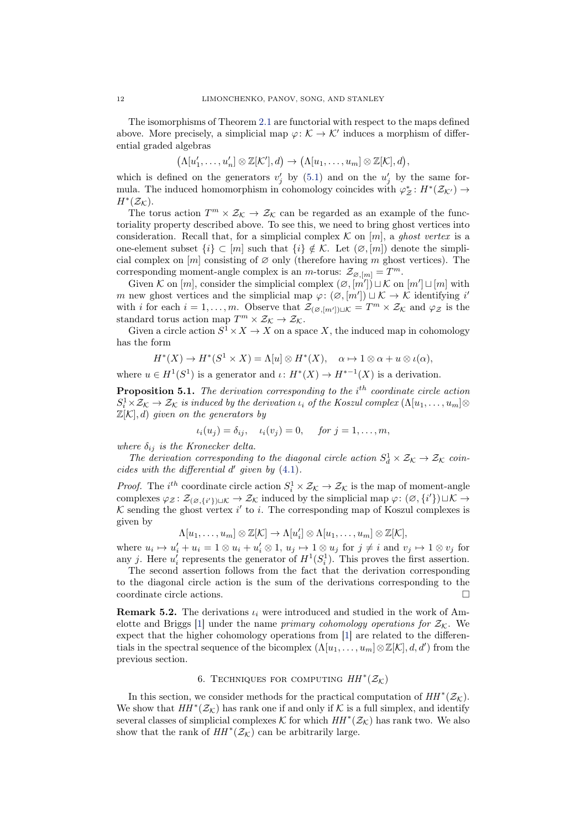The isomorphisms of Theorem [2.1](#page-3-2) are functorial with respect to the maps defined above. More precisely, a simplicial map  $\varphi: \mathcal{K} \to \mathcal{K}'$  induces a morphism of differential graded algebras

$$
(\Lambda[u'_1,\ldots,u'_n]\otimes \mathbb{Z}[\mathcal{K}'],d)\to (\Lambda[u_1,\ldots,u_m]\otimes \mathbb{Z}[\mathcal{K}],d),
$$

which is defined on the generators  $v'_j$  by [\(5.1\)](#page-10-2) and on the  $u'_j$  by the same formula. The induced homomorphism in cohomology coincides with  $\varphi^*_{\mathcal{Z}}: H^*(\mathcal{Z}_{\mathcal{K}'}) \to$  $H^*(\mathcal{Z}_{\mathcal{K}}).$ 

The torus action  $T^m \times \mathcal{Z}_\mathcal{K} \to \mathcal{Z}_\mathcal{K}$  can be regarded as an example of the functoriality property described above. To see this, we need to bring ghost vertices into consideration. Recall that, for a simplicial complex  $\mathcal K$  on  $[m]$ , a ghost vertex is a one-element subset  $\{i\} \subset [m]$  such that  $\{i\} \notin \mathcal{K}$ . Let  $(\emptyset, [m])$  denote the simplicial complex on  $[m]$  consisting of  $\varnothing$  only (therefore having m ghost vertices). The corresponding moment-angle complex is an *m*-torus:  $\mathcal{Z}_{\varnothing,[m]} = T^m$ .

Given K on  $[m]$ , consider the simplicial complex  $(\emptyset, [m']) \sqcup \mathcal{K}$  on  $[m'] \sqcup [m]$  with m new ghost vertices and the simplicial map  $\varphi: (\varnothing, [m']) \sqcup \mathcal{K} \to \mathcal{K}$  identifying i' with i for each  $i = 1, ..., m$ . Observe that  $\mathcal{Z}_{(\varnothing,[m'])\sqcup \mathcal{K}} = T^m \times \mathcal{Z}_{\mathcal{K}}$  and  $\varphi_{\mathcal{Z}}$  is the standard torus action map  $T^m \times \mathcal{Z}_\mathcal{K} \to \mathcal{Z}_\mathcal{K}$ .

Given a circle action  $S^1 \times X \to X$  on a space X, the induced map in cohomology has the form

$$
H^*(X) \to H^*(S^1 \times X) = \Lambda[u] \otimes H^*(X), \quad \alpha \mapsto 1 \otimes \alpha + u \otimes \iota(\alpha),
$$

where  $u \in H^1(S^1)$  is a generator and  $\iota: H^*(X) \to H^{*-1}(X)$  is a derivation.

**Proposition 5.1.** The derivation corresponding to the  $i<sup>th</sup>$  coordinate circle action  $S_i^1 \times Z_K \to Z_K$  is induced by the derivation  $\iota_i$  of the Koszul complex  $(\Lambda[u_1, \ldots, u_m] \otimes$  $\mathbb{Z}[\mathcal{K}], d$ ) given on the generators by

$$
\iota_i(u_j) = \delta_{ij}, \quad \iota_i(v_j) = 0, \quad \text{for } j = 1, \dots, m,
$$

where  $\delta_{ij}$  is the Kronecker delta.

The derivation corresponding to the diagonal circle action  $S_d^1 \times \mathcal{Z}_K \to \mathcal{Z}_K$  coincides with the differential  $d'$  given by  $(4.1)$ .

*Proof.* The *i*<sup>th</sup> coordinate circle action  $S_i^1 \times \mathcal{Z}_K \to \mathcal{Z}_K$  is the map of moment-angle complexes  $\varphi_{\mathcal{Z}}\colon \mathcal{Z}_{(\varnothing,\{i'\})\sqcup\mathcal{K}} \to \mathcal{Z}_{\mathcal{K}}$  induced by the simplicial map  $\varphi\colon (\varnothing,\{i'\})\sqcup\mathcal{K} \to$  $K$  sending the ghost vertex  $i'$  to i. The corresponding map of Koszul complexes is given by

$$
\Lambda[u_1,\ldots,u_m]\otimes \mathbb{Z}[\mathcal{K}]\to \Lambda[u'_i]\otimes \Lambda[u_1,\ldots,u_m]\otimes \mathbb{Z}[\mathcal{K}],
$$

where  $u_i \mapsto u'_i + u_i = 1 \otimes u_i + u'_i \otimes 1$ ,  $u_j \mapsto 1 \otimes u_j$  for  $j \neq i$  and  $v_j \mapsto 1 \otimes v_j$  for any j. Here  $u'_i$  represents the generator of  $H^1(S_i^1)$ . This proves the first assertion.

The second assertion follows from the fact that the derivation corresponding to the diagonal circle action is the sum of the derivations corresponding to the coordinate circle actions.

**Remark 5.2.** The derivations  $\iota_i$  were introduced and studied in the work of Am-elotte and Briggs [\[1\]](#page-24-2) under the name *primary cohomology operations for*  $\mathcal{Z}_\mathcal{K}$ . We expect that the higher cohomology operations from [\[1\]](#page-24-2) are related to the differentials in the spectral sequence of the bicomplex  $(\Lambda[u_1,\ldots,u_m]\otimes \mathbb{Z}[\mathcal{K}],d,d')$  from the previous section.

# 6. TECHNIQUES FOR COMPUTING  $HH^*(\mathcal{Z}_\mathcal{K})$

<span id="page-11-1"></span><span id="page-11-0"></span>In this section, we consider methods for the practical computation of  $HH^*(\mathcal{Z}_\mathcal{K})$ . We show that  $HH^*(\mathcal{Z}_\mathcal{K})$  has rank one if and only if  $\mathcal K$  is a full simplex, and identify several classes of simplicial complexes K for which  $HH^*(\mathcal{Z}_\mathcal{K})$  has rank two. We also show that the rank of  $HH^*(\mathcal{Z}_{\mathcal{K}})$  can be arbitrarily large.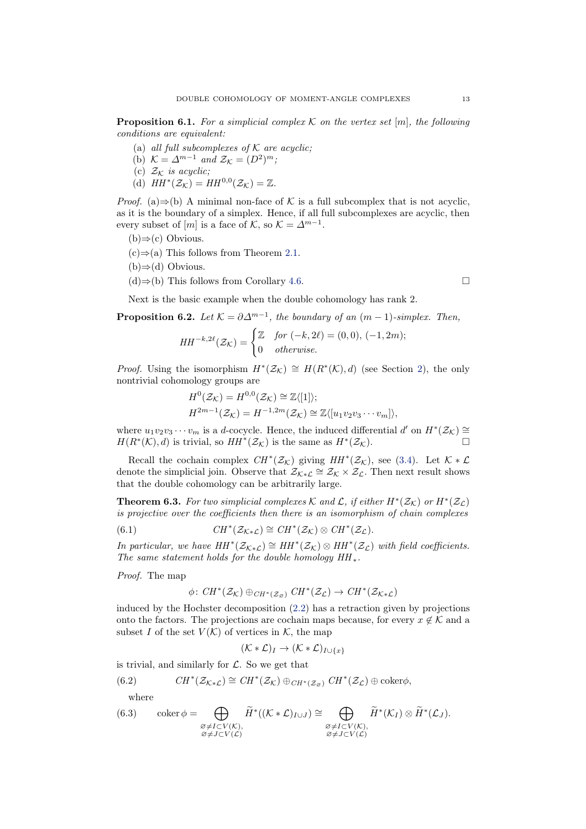**Proposition 6.1.** For a simplicial complex K on the vertex set  $[m]$ , the following conditions are equivalent:

- (a) all full subcomplexes of  $K$  are acyclic;
- (b)  $\mathcal{K} = \Delta^{m-1}$  and  $\mathcal{Z}_{\mathcal{K}} = (D^2)^m$ ;
- (c)  $\mathcal{Z}_\mathcal{K}$  is acyclic;
- (d)  $HH^*(\mathcal{Z}_\mathcal{K}) = HH^{0,0}(\mathcal{Z}_\mathcal{K}) = \mathbb{Z}.$

*Proof.* (a)⇒(b) A minimal non-face of K is a full subcomplex that is not acyclic, as it is the boundary of a simplex. Hence, if all full subcomplexes are acyclic, then every subset of  $[m]$  is a face of K, so  $\mathcal{K} = \Delta^{m-1}$ .

- (b)⇒(c) Obvious.
- $(c) \Rightarrow (a)$  This follows from Theorem [2.1.](#page-3-2)
- $(b)$ ⇒(d) Obvious.
- $(d)$ ⇒(b) This follows from Corollary [4.6.](#page-9-0)

<span id="page-12-1"></span>Next is the basic example when the double cohomology has rank 2.

**Proposition 6.2.** Let  $K = \partial \Delta^{m-1}$ , the boundary of an  $(m-1)$ -simplex. Then,

$$
HH^{-k,2\ell}(\mathcal{Z}_{\mathcal{K}}) = \begin{cases} \mathbb{Z} & \text{for } (-k,2\ell) = (0,0), (-1,2m); \\ 0 & \text{otherwise.} \end{cases}
$$

*Proof.* Using the isomorphism  $H^*(\mathcal{Z}_\mathcal{K}) \cong H(R^*(\mathcal{K}), d)$  (see Section [2\)](#page-2-0), the only nontrivial cohomology groups are

$$
H^{0}(\mathcal{Z}_{\mathcal{K}}) = H^{0,0}(\mathcal{Z}_{\mathcal{K}}) \cong \mathbb{Z}\langle [1] \rangle;
$$
  

$$
H^{2m-1}(\mathcal{Z}_{\mathcal{K}}) = H^{-1,2m}(\mathcal{Z}_{\mathcal{K}}) \cong \mathbb{Z}\langle [u_1v_2v_3\cdots v_m] \rangle,
$$

where  $u_1v_2v_3\cdots v_m$  is a d-cocycle. Hence, the induced differential d' on  $H^*(\mathcal{Z}_\mathcal{K})\cong$  $H(R^*(\mathcal{K}), d)$  is trivial, so  $HH^*(\mathcal{Z}_{\mathcal{K}})$  is the same as  $H^*(\mathcal{Z}_{\mathcal{K}})$ .

Recall the cochain complex  $CH^*(\mathcal{Z}_\mathcal{K})$  giving  $HH^*(\mathcal{Z}_\mathcal{K})$ , see [\(3.4\)](#page-5-4). Let  $\mathcal{K} * \mathcal{L}$ denote the simplicial join. Observe that  $\mathcal{Z}_{\mathcal{K}*\mathcal{L}} \cong \mathcal{Z}_{\mathcal{K}} \times \mathcal{Z}_{\mathcal{L}}$ . Then next result shows that the double cohomology can be arbitrarily large.

<span id="page-12-0"></span>**Theorem 6.3.** For two simplicial complexes K and L, if either  $H^*(\mathcal{Z}_\mathcal{K})$  or  $H^*(\mathcal{Z}_\mathcal{L})$ is projective over the coefficients then there is an isomorphism of chain complexes

(6.1) 
$$
CH^*(\mathcal{Z}_{\mathcal{K}\ast\mathcal{L}})\cong CH^*(\mathcal{Z}_{\mathcal{K}})\otimes CH^*(\mathcal{Z}_{\mathcal{L}}).
$$

In particular, we have  $HH^*(\mathcal{Z}_{K^*\mathcal{L}}) \cong HH^*(\mathcal{Z}_{\mathcal{K}}) \otimes HH^*(\mathcal{Z}_{\mathcal{L}})$  with field coefficients. The same statement holds for the double homology  $HH_*$ .

Proof. The map

<span id="page-12-4"></span>
$$
\phi\colon \mathit{CH}^\ast(\mathcal Z_{\mathcal K})\oplus_{\mathit{CH}^\ast(\mathcal Z_{\varnothing})}\mathit{CH}^\ast(\mathcal Z_{\mathcal L})\to \mathit{CH}^\ast(\mathcal Z_{\mathcal K\ast\mathcal L})
$$

induced by the Hochster decomposition [\(2.2\)](#page-3-1) has a retraction given by projections onto the factors. The projections are cochain maps because, for every  $x \notin \mathcal{K}$  and a subset I of the set  $V(K)$  of vertices in K, the map

$$
(\mathcal{K} * \mathcal{L})_I \to (\mathcal{K} * \mathcal{L})_{I \cup \{x\}}
$$

is trivial, and similarly for  $\mathcal{L}$ . So we get that

(6.2) 
$$
CH^*(\mathcal{Z}_{K^*\mathcal{L}}) \cong CH^*(\mathcal{Z}_{K}) \oplus_{CH^*(\mathcal{Z}_{\varnothing})} CH^*(\mathcal{Z}_{\mathcal{L}}) \oplus \mathrm{coker}\phi,
$$

<span id="page-12-3"></span><span id="page-12-2"></span>where

(6.3) 
$$
\operatorname{coker} \phi = \bigoplus_{\substack{\varnothing \neq I \subset V(\mathcal{K}), \\ \varnothing \neq J \subset V(\mathcal{L})}} \widetilde{H}^*((\mathcal{K} * \mathcal{L})_{I \cup J}) \cong \bigoplus_{\substack{\varnothing \neq I \subset V(\mathcal{K}), \\ \varnothing \neq J \subset V(\mathcal{L})}} \widetilde{H}^*(\mathcal{K}_I) \otimes \widetilde{H}^*(\mathcal{L}_J).
$$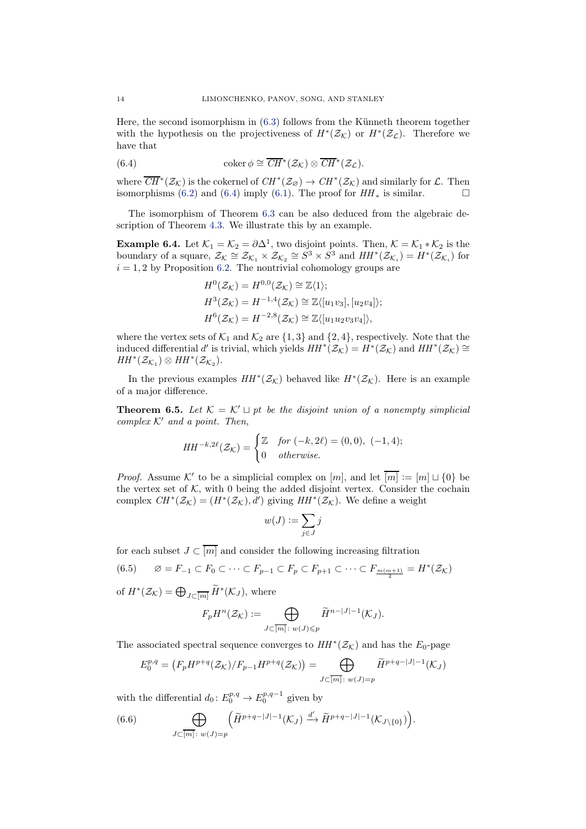Here, the second isomorphism in  $(6.3)$  follows from the Künneth theorem together with the hypothesis on the projectiveness of  $H^*(\mathcal{Z}_\mathcal{K})$  or  $H^*(\mathcal{Z}_\mathcal{L})$ . Therefore we have that

<span id="page-13-0"></span>(6.4) 
$$
\operatorname{coker} \phi \cong \overline{CH}^*(\mathcal{Z}_\mathcal{K}) \otimes \overline{CH}^*(\mathcal{Z}_\mathcal{L}).
$$

where  $\overline{CH}^*(\mathcal{Z}_\mathcal{K})$  is the cokernel of  $CH^*(\mathcal{Z}_\mathcal{B}) \to CH^*(\mathcal{Z}_\mathcal{K})$  and similarly for  $\mathcal{L}$ . Then isomorphisms [\(6.2\)](#page-12-3) and [\(6.4\)](#page-13-0) imply [\(6.1\)](#page-12-4). The proof for  $HH_*$  is similar.

<span id="page-13-3"></span>The isomorphism of Theorem [6.3](#page-12-0) can be also deduced from the algebraic description of Theorem [4.3.](#page-7-0) We illustrate this by an example.

**Example 6.4.** Let  $\mathcal{K}_1 = \mathcal{K}_2 = \partial \Delta^1$ , two disjoint points. Then,  $\mathcal{K} = \mathcal{K}_1 * \mathcal{K}_2$  is the boundary of a square,  $\mathcal{Z}_{\mathcal{K}} \cong \mathcal{Z}_{\mathcal{K}_1} \times \mathcal{Z}_{\mathcal{K}_2} \cong S^3 \times S^3$  and  $HH^*(\mathcal{Z}_{\mathcal{K}_i}) = H^*(\mathcal{Z}_{\mathcal{K}_i})$  for  $i = 1, 2$  by Proposition [6.2.](#page-12-1) The nontrivial cohomology groups are

$$
H^{0}(\mathcal{Z}_{\mathcal{K}}) = H^{0,0}(\mathcal{Z}_{\mathcal{K}}) \cong \mathbb{Z}\langle 1 \rangle;
$$
  
\n
$$
H^{3}(\mathcal{Z}_{\mathcal{K}}) = H^{-1,4}(\mathcal{Z}_{\mathcal{K}}) \cong \mathbb{Z}\langle [u_1v_3], [u_2v_4] \rangle;
$$
  
\n
$$
H^{6}(\mathcal{Z}_{\mathcal{K}}) = H^{-2,8}(\mathcal{Z}_{\mathcal{K}}) \cong \mathbb{Z}\langle [u_1u_2v_3v_4] \rangle,
$$

where the vertex sets of  $\mathcal{K}_1$  and  $\mathcal{K}_2$  are  $\{1,3\}$  and  $\{2,4\}$ , respectively. Note that the induced differential d' is trivial, which yields  $HH^*(\mathcal{Z}_\mathcal{K}) = H^*(\mathcal{Z}_\mathcal{K})$  and  $HH^*(\mathcal{Z}_\mathcal{K}) \cong$  $HH^*(\mathcal{Z}_{\mathcal{K}_1})\otimes HH^*(\mathcal{Z}_{\mathcal{K}_2}).$ 

<span id="page-13-2"></span>In the previous examples  $HH^*(\mathcal{Z}_\mathcal{K})$  behaved like  $H^*(\mathcal{Z}_\mathcal{K})$ . Here is an example of a major difference.

**Theorem 6.5.** Let  $\mathcal{K} = \mathcal{K}' \sqcup pt$  be the disjoint union of a nonempty simplicial complex  $K'$  and a point. Then,

$$
HH^{-k,2\ell}(\mathcal{Z}_{\mathcal{K}}) = \begin{cases} \mathbb{Z} & \text{for } (-k,2\ell) = (0,0), (-1,4); \\ 0 & \text{otherwise.} \end{cases}
$$

*Proof.* Assume K' to be a simplicial complex on  $[m]$ , and let  $\overline{[m]} := [m] \sqcup \{0\}$  be the vertex set of  $K$ , with 0 being the added disjoint vertex. Consider the cochain complex  $CH^*(\mathcal{Z}_\mathcal{K}) = (H^*(\mathcal{Z}_\mathcal{K}), d')$  giving  $HH^*(\mathcal{Z}_\mathcal{K})$ . We define a weight

$$
w(J):=\sum_{j\in J}j
$$

for each subset  $J \subset \overline{[m]}$  and consider the following increasing filtration

(6.5) 
$$
\varnothing = F_{-1} \subset F_0 \subset \cdots \subset F_{p-1} \subset F_p \subset F_{p+1} \subset \cdots \subset F_{\frac{m(m+1)}{2}} = H^*(\mathcal{Z}_\mathcal{K})
$$
of  $H^*(\mathcal{Z}_\mathcal{K}) = \bigoplus_{p \in \widetilde{H}^*}(K_p)$ , where

of  $H^*(\mathcal{Z}_\mathcal{K}) = \bigoplus_{J \subset \overline{[m]}} \widetilde{H}^*(\mathcal{K}_J)$ , where

$$
F_p H^n(\mathcal{Z}_\mathcal{K}) := \bigoplus_{J \subset \overline{[m]} \colon w(J) \leqslant p} \widetilde{H}^{n-|J|-1}(\mathcal{K}_J).
$$

The associated spectral sequence converges to  $HH^*(\mathcal{Z}_\mathcal{K})$  and has the  $E_0$ -page

$$
E_0^{p,q} = (F_p H^{p+q}(\mathcal{Z}_\mathcal{K})/F_{p-1} H^{p+q}(\mathcal{Z}_\mathcal{K})) = \bigoplus_{J \subset [m]: \ w(J) = p} \widetilde{H}^{p+q-|J|-1}(\mathcal{K}_J)
$$

with the differential  $d_0: E_0^{p,q} \to E_0^{p,q-1}$  given by

<span id="page-13-1"></span>(6.6) 
$$
\bigoplus_{J \subset \overline{[m]} \colon w(J) = p} \left( \widetilde{H}^{p+q-|J|-1}(\mathcal{K}_J) \xrightarrow{d'} \widetilde{H}^{p+q-|J|-1}(\mathcal{K}_{J \setminus \{0\}}) \right).
$$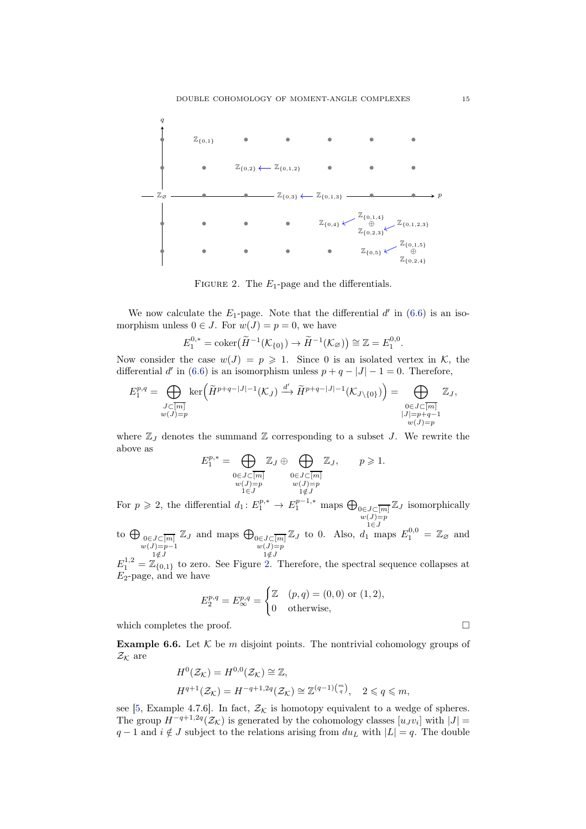<span id="page-14-0"></span>

FIGURE 2. The  $E_1$ -page and the differentials.

We now calculate the  $E_1$ -page. Note that the differential  $d'$  in [\(6.6\)](#page-13-1) is an isomorphism unless  $0 \in J$ . For  $w(J) = p = 0$ , we have

$$
E_1^{0,*} = \text{coker}(\widetilde{H}^{-1}(\mathcal{K}_{\{0\}})) \to \widetilde{H}^{-1}(\mathcal{K}_{\varnothing})) \cong \mathbb{Z} = E_1^{0,0}.
$$

Now consider the case  $w(J) = p \ge 1$ . Since 0 is an isolated vertex in K, the differential d' in [\(6.6\)](#page-13-1) is an isomorphism unless  $p + q - |J| - 1 = 0$ . Therefore,

$$
E_1^{p,q} = \bigoplus_{\substack{J \subset [m] \\ w(J) = p}} \ker\left(\widetilde{H}^{p+q-|J|-1}(\mathcal{K}_J) \xrightarrow{d'} \widetilde{H}^{p+q-|J|-1}(\mathcal{K}_{J \setminus \{0\}})\right) = \bigoplus_{\substack{0 \in J \subset \overline{[m]} \\ |J| = p+q-1 \\ w(J) = p}} \mathbb{Z}_J,
$$

where  $\mathbb{Z}_J$  denotes the summand  $\mathbb Z$  corresponding to a subset J. We rewrite the above as

$$
E_1^{p,*} = \bigoplus_{\substack{0 \in J \subset \overline{[m]} \\ w(J) = p}} \mathbb{Z}_J \oplus \bigoplus_{\substack{0 \in J \subset \overline{[m]} \\ w(J) = p \\ 1 \notin J}} \mathbb{Z}_J, \qquad p \geqslant 1.
$$

For  $p \geqslant 2$ , the differential  $d_1: E_1^{p,*} \to E_1^{p-1,*}$  maps  $\bigoplus_{0 \in J \subset \overline{[m]}}$  $w(J)=p$ <br> $1\in J$  $\mathbb{Z}_J$  isomorphically

to  $\bigoplus_{\substack{0 \in J \subset \overline{[m]} \\ w(J)=p-1}}$  $1\notin J$  $\mathbb{Z}_J$  and maps  $\bigoplus_{\substack{0 \in J \subset \overline{[m]} \\ w(J)=p}}$  $1\notin J$  $\mathbb{Z}_J$  to 0. Also,  $d_1$  maps  $E_1^{0,0} = \mathbb{Z}_{\varnothing}$  and

 $E_1^{1,2} = \mathbb{Z}_{\{0,1\}}$  to zero. See Figure [2.](#page-14-0) Therefore, the spectral sequence collapses at  $E_2$ -page, and we have

$$
E_2^{p,q} = E_{\infty}^{p,q} = \begin{cases} \mathbb{Z} & (p,q) = (0,0) \text{ or } (1,2), \\ 0 & \text{otherwise}, \end{cases}
$$

which completes the proof.  $\Box$ 

**Example 6.6.** Let  $K$  be m disjoint points. The nontrivial cohomology groups of  $\mathcal{Z}_\mathcal{K}$  are

$$
H^{0}(\mathcal{Z}_{\mathcal{K}}) = H^{0,0}(\mathcal{Z}_{\mathcal{K}}) \cong \mathbb{Z},
$$
  

$$
H^{q+1}(\mathcal{Z}_{\mathcal{K}}) = H^{-q+1,2q}(\mathcal{Z}_{\mathcal{K}}) \cong \mathbb{Z}^{(q-1)\binom{m}{q}}, \quad 2 \leq q \leq m,
$$

see [\[5,](#page-24-3) Example 4.7.6]. In fact,  $\mathcal{Z}_\mathcal{K}$  is homotopy equivalent to a wedge of spheres. The group  $H^{-q+1,2q}(\mathcal{Z}_\mathcal{K})$  is generated by the cohomology classes  $[u_J v_i]$  with  $|J| =$  $q-1$  and  $i \notin J$  subject to the relations arising from  $du_L$  with  $|L| = q$ . The double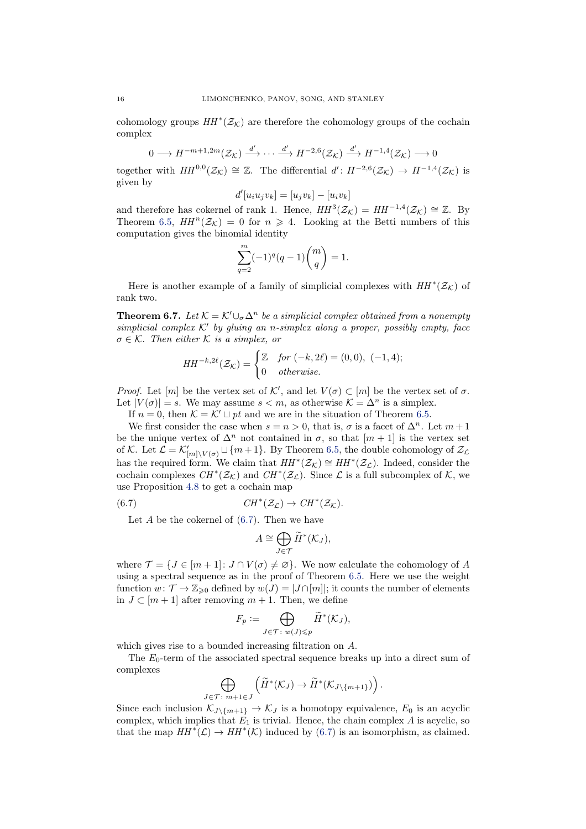cohomology groups  $HH^*(\mathcal{Z}_\mathcal{K})$  are therefore the cohomology groups of the cochain complex

$$
0 \longrightarrow H^{-m+1,2m}(\mathcal{Z}_{\mathcal{K}}) \stackrel{d'}{\longrightarrow} \cdots \stackrel{d'}{\longrightarrow} H^{-2,6}(\mathcal{Z}_{\mathcal{K}}) \stackrel{d'}{\longrightarrow} H^{-1,4}(\mathcal{Z}_{\mathcal{K}}) \longrightarrow 0
$$

together with  $HH^{0,0}(\mathcal{Z}_{\mathcal{K}}) \cong \mathbb{Z}$ . The differential  $d' : H^{-2,6}(\mathcal{Z}_{\mathcal{K}}) \to H^{-1,4}(\mathcal{Z}_{\mathcal{K}})$  is given by

$$
d'[u_i u_j v_k] = [u_j v_k] - [u_i v_k]
$$

and therefore has cokernel of rank 1. Hence,  $HH^3(\mathcal{Z}_\mathcal{K}) = HH^{-1,4}(\mathcal{Z}_\mathcal{K}) \cong \mathbb{Z}$ . By Theorem [6.5,](#page-13-2)  $HH^n(\mathcal{Z}_\mathcal{K}) = 0$  for  $n \geq 4$ . Looking at the Betti numbers of this computation gives the binomial identity

$$
\sum_{q=2}^{m} (-1)^q (q-1) \binom{m}{q} = 1.
$$

<span id="page-15-0"></span>Here is another example of a family of simplicial complexes with  $HH^*(\mathcal{Z}_\mathcal{K})$  of rank two.

**Theorem 6.7.** Let  $K = K' \cup_{\sigma} \Delta^n$  be a simplicial complex obtained from a nonempty simplicial complex  $K'$  by gluing an n-simplex along a proper, possibly empty, face  $\sigma \in \mathcal{K}$ . Then either  $\mathcal K$  is a simplex, or

$$
HH^{-k,2\ell}(\mathcal{Z}_{\mathcal{K}}) = \begin{cases} \mathbb{Z} & \text{for } (-k,2\ell) = (0,0), (-1,4); \\ 0 & \text{otherwise.} \end{cases}
$$

*Proof.* Let  $[m]$  be the vertex set of K', and let  $V(\sigma) \subset [m]$  be the vertex set of  $\sigma$ . Let  $|V(\sigma)| = s$ . We may assume  $s < m$ , as otherwise  $\mathcal{K} = \Delta^n$  is a simplex.

If  $n = 0$ , then  $K = K' \sqcup pt$  and we are in the situation of Theorem [6.5.](#page-13-2)

We first consider the case when  $s = n > 0$ , that is,  $\sigma$  is a facet of  $\Delta^n$ . Let  $m + 1$ be the unique vertex of  $\Delta^n$  not contained in  $\sigma$ , so that  $[m+1]$  is the vertex set of K. Let  $\mathcal{L} = \mathcal{K}'_{[m]\setminus V(\sigma)} \sqcup \{m+1\}$ . By Theorem [6.5,](#page-13-2) the double cohomology of  $\mathcal{Z}_{\mathcal{L}}$ has the required form. We claim that  $HH^*(\mathcal{Z}_\mathcal{K}) \cong HH^*(\mathcal{Z}_\mathcal{L})$ . Indeed, consider the cochain complexes  $CH^*(\mathcal{Z}_\mathcal{K})$  and  $CH^*(\mathcal{Z}_\mathcal{L})$ . Since  $\mathcal L$  is a full subcomplex of  $\mathcal K$ , we use Proposition [4.8](#page-9-1) to get a cochain map

(6.7) 
$$
CH^*(\mathcal{Z}_\mathcal{L}) \to CH^*(\mathcal{Z}_\mathcal{K}).
$$

Let  $A$  be the cokernel of  $(6.7)$ . Then we have

<span id="page-15-1"></span>
$$
A \cong \bigoplus_{J \in \mathcal{T}} \widetilde{H}^*(\mathcal{K}_J),
$$

where  $\mathcal{T} = \{J \in [m+1]: J \cap V(\sigma) \neq \emptyset\}$ . We now calculate the cohomology of A using a spectral sequence as in the proof of Theorem [6.5.](#page-13-2) Here we use the weight function  $w: \mathcal{T} \to \mathbb{Z}_{\geq 0}$  defined by  $w(J) = |J \cap [m]|$ ; it counts the number of elements in  $J \subset [m+1]$  after removing  $m+1$ . Then, we define

$$
F_p := \bigoplus_{J \in \mathcal{T}: w(J) \leqslant p} \widetilde{H}^*(\mathcal{K}_J),
$$

which gives rise to a bounded increasing filtration on A.

The  $E_0$ -term of the associated spectral sequence breaks up into a direct sum of complexes

$$
\bigoplus_{J\in\mathcal{T}\colon m+1\in J}\left(\widetilde{H}^*(\mathcal{K}_J)\to\widetilde{H}^*(\mathcal{K}_{J\setminus\{m+1\}})\right).
$$

Since each inclusion  $\mathcal{K}_{J\setminus\{m+1\}} \to \mathcal{K}_J$  is a homotopy equivalence,  $E_0$  is an acyclic complex, which implies that  $E_1$  is trivial. Hence, the chain complex A is acyclic, so that the map  $HH^*(\mathcal{L}) \to HH^*(\mathcal{K})$  induced by [\(6.7\)](#page-15-1) is an isomorphism, as claimed.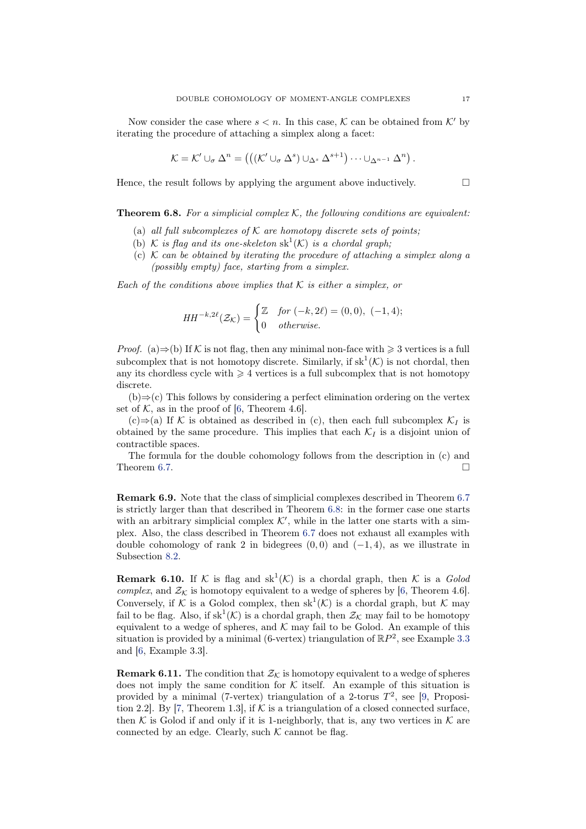Now consider the case where  $s < n$ . In this case, K can be obtained from K' by iterating the procedure of attaching a simplex along a facet:

$$
\mathcal{K} = \mathcal{K}' \cup_{\sigma} \Delta^n = \left( \left( (\mathcal{K}' \cup_{\sigma} \Delta^s) \cup_{\Delta^s} \Delta^{s+1} \right) \cdots \cup_{\Delta^{n-1}} \Delta^n \right).
$$

Hence, the result follows by applying the argument above inductively.  $\Box$ 

<span id="page-16-0"></span>**Theorem 6.8.** For a simplicial complex K, the following conditions are equivalent:

- (a) all full subcomplexes of  $K$  are homotopy discrete sets of points;
- (b) K is flag and its one-skeleton  $sk^1(\mathcal{K})$  is a chordal graph;
- (c)  $K$  can be obtained by iterating the procedure of attaching a simplex along a (possibly empty) face, starting from a simplex.

Each of the conditions above implies that  $K$  is either a simplex, or

$$
HH^{-k,2\ell}(\mathcal{Z}_{\mathcal{K}}) = \begin{cases} \mathbb{Z} & \text{for } (-k,2\ell) = (0,0), (-1,4); \\ 0 & \text{otherwise.} \end{cases}
$$

*Proof.* (a)  $\Rightarrow$  (b) If K is not flag, then any minimal non-face with  $\geq 3$  vertices is a full subcomplex that is not homotopy discrete. Similarly, if  $sk^1(\mathcal{K})$  is not chordal, then any its chordless cycle with  $\geq 4$  vertices is a full subcomplex that is not homotopy discrete.

 $(b) \Rightarrow (c)$  This follows by considering a perfect elimination ordering on the vertex set of  $K$ , as in the proof of [\[6,](#page-24-0) Theorem 4.6].

(c)⇒(a) If K is obtained as described in (c), then each full subcomplex  $\mathcal{K}_I$  is obtained by the same procedure. This implies that each  $\mathcal{K}_I$  is a disjoint union of contractible spaces.

The formula for the double cohomology follows from the description in (c) and Theorem [6.7.](#page-15-0)  $\Box$ 

Remark 6.9. Note that the class of simplicial complexes described in Theorem [6.7](#page-15-0) is strictly larger than that described in Theorem [6.8:](#page-16-0) in the former case one starts with an arbitrary simplicial complex  $K'$ , while in the latter one starts with a simplex. Also, the class described in Theorem [6.7](#page-15-0) does not exhaust all examples with double cohomology of rank 2 in bidegrees  $(0, 0)$  and  $(-1, 4)$ , as we illustrate in Subsection [8.2.](#page-21-1)

**Remark 6.10.** If K is flag and  $sk^1(\mathcal{K})$  is a chordal graph, then K is a Golod complex, and  $\mathcal{Z}_\mathcal{K}$  is homotopy equivalent to a wedge of spheres by [\[6,](#page-24-0) Theorem 4.6]. Conversely, if K is a Golod complex, then  $sk^1(\mathcal{K})$  is a chordal graph, but K may fail to be flag. Also, if  $sk^1(\mathcal{K})$  is a chordal graph, then  $\mathcal{Z_K}$  may fail to be homotopy equivalent to a wedge of spheres, and  $K$  may fail to be Golod. An example of this situation is provided by a minimal (6-vertex) triangulation of  $\mathbb{R}P^2$ , see Example [3.3](#page-5-0) and [\[6,](#page-24-0) Example 3.3].

**Remark 6.11.** The condition that  $\mathcal{Z}_k$  is homotopy equivalent to a wedge of spheres does not imply the same condition for  $K$  itself. An example of this situation is provided by a minimal (7-vertex) triangulation of a 2-torus  $T^2$ , see [\[9,](#page-24-6) Proposi-tion 2.2. By [\[7,](#page-24-7) Theorem 1.3], if  $K$  is a triangulation of a closed connected surface, then  $K$  is Golod if and only if it is 1-neighborly, that is, any two vertices in  $K$  are connected by an edge. Clearly, such  $K$  cannot be flag.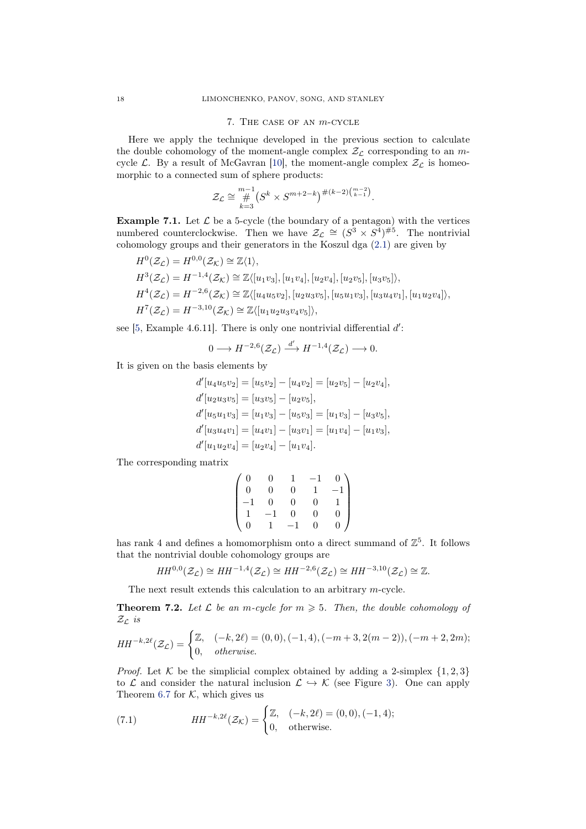#### 7. The case of an m-cycle

<span id="page-17-1"></span>Here we apply the technique developed in the previous section to calculate the double cohomology of the moment-angle complex  $\mathcal{Z}_c$  corresponding to an mcycle  $\mathcal{L}$ . By a result of McGavran [\[10\]](#page-24-8), the moment-angle complex  $\mathcal{Z}_{\mathcal{L}}$  is homeomorphic to a connected sum of sphere products:

$$
\mathcal{Z}_{\mathcal{L}} \cong \mathop{H}_{k=3}^{m-1} (S^k \times S^{m+2-k})^{\#(k-2)\binom{m-2}{k-1}}.
$$

<span id="page-17-3"></span>**Example 7.1.** Let  $\mathcal{L}$  be a 5-cycle (the boundary of a pentagon) with the vertices numbered counterclockwise. Then we have  $\mathcal{Z}_{\mathcal{L}} \cong (S^3 \times S^4)^{\#5}$ . The nontrivial cohomology groups and their generators in the Koszul dga [\(2.1\)](#page-3-0) are given by

$$
H^{0}(\mathcal{Z}_{\mathcal{L}}) = H^{0,0}(\mathcal{Z}_{\mathcal{K}}) \cong \mathbb{Z}\langle 1 \rangle,
$$
  
\n
$$
H^{3}(\mathcal{Z}_{\mathcal{L}}) = H^{-1,4}(\mathcal{Z}_{\mathcal{K}}) \cong \mathbb{Z}\langle [u_{1}v_{3}], [u_{1}v_{4}], [u_{2}v_{4}], [u_{2}v_{5}], [u_{3}v_{5}]\rangle,
$$
  
\n
$$
H^{4}(\mathcal{Z}_{\mathcal{L}}) = H^{-2,6}(\mathcal{Z}_{\mathcal{K}}) \cong \mathbb{Z}\langle [u_{4}u_{5}v_{2}], [u_{2}u_{3}v_{5}], [u_{5}u_{1}v_{3}], [u_{3}u_{4}v_{1}], [u_{1}u_{2}v_{4}]\rangle,
$$
  
\n
$$
H^{7}(\mathcal{Z}_{\mathcal{L}}) = H^{-3,10}(\mathcal{Z}_{\mathcal{K}}) \cong \mathbb{Z}\langle [u_{1}u_{2}u_{3}v_{4}v_{5}]\rangle,
$$

see  $[5, Example 4.6.11]$ . There is only one nontrivial differential  $d'$ :

$$
0 \longrightarrow H^{-2,6}(\mathcal{Z}_{\mathcal{L}}) \stackrel{d'}{\longrightarrow} H^{-1,4}(\mathcal{Z}_{\mathcal{L}}) \longrightarrow 0.
$$

It is given on the basis elements by

$$
d'[u_4u_5v_2] = [u_5v_2] - [u_4v_2] = [u_2v_5] - [u_2v_4],
$$
  
\n
$$
d'[u_2u_3v_5] = [u_3v_5] - [u_2v_5],
$$
  
\n
$$
d'[u_5u_1v_3] = [u_1v_3] - [u_5v_3] = [u_1v_3] - [u_3v_5],
$$
  
\n
$$
d'[u_3u_4v_1] = [u_4v_1] - [u_3v_1] = [u_1v_4] - [u_1v_3],
$$
  
\n
$$
d'[u_1u_2v_4] = [u_2v_4] - [u_1v_4].
$$

The corresponding matrix

$$
\begin{pmatrix} 0 & 0 & 1 & -1 & 0 \cr 0 & 0 & 0 & 1 & -1 \cr -1 & 0 & 0 & 0 & 1 \cr 1 & -1 & 0 & 0 & 0 \cr 0 & 1 & -1 & 0 & 0 \end{pmatrix}
$$

has rank 4 and defines a homomorphism onto a direct summand of  $\mathbb{Z}^5$ . It follows that the nontrivial double cohomology groups are

$$
HH^{0,0}(\mathcal{Z}_\mathcal{L}) \cong HH^{-1,4}(\mathcal{Z}_\mathcal{L}) \cong HH^{-2,6}(\mathcal{Z}_\mathcal{L}) \cong HH^{-3,10}(\mathcal{Z}_\mathcal{L}) \cong \mathbb{Z}.
$$

<span id="page-17-0"></span>The next result extends this calculation to an arbitrary m-cycle.

**Theorem 7.2.** Let  $\mathcal{L}$  be an m-cycle for  $m \geq 5$ . Then, the double cohomology of  $\mathcal{Z}_\mathcal{L}$  is

$$
HH^{-k,2\ell}(\mathcal{Z}_{\mathcal{L}}) = \begin{cases} \mathbb{Z}, & (-k,2\ell) = (0,0), (-1,4), (-m+3,2(m-2)), (-m+2,2m); \\ 0, & \text{otherwise.} \end{cases}
$$

*Proof.* Let K be the simplicial complex obtained by adding a 2-simplex  $\{1, 2, 3\}$ to  $\mathcal L$  and consider the natural inclusion  $\mathcal L \hookrightarrow \mathcal K$  (see Figure [3\)](#page-18-0). One can apply Theorem [6.7](#page-15-0) for  $K$ , which gives us

<span id="page-17-2"></span>(7.1) 
$$
HH^{-k,2\ell}(\mathcal{Z}_{\mathcal{K}}) = \begin{cases} \mathbb{Z}, & (-k,2\ell) = (0,0), (-1,4); \\ 0, & \text{otherwise.} \end{cases}
$$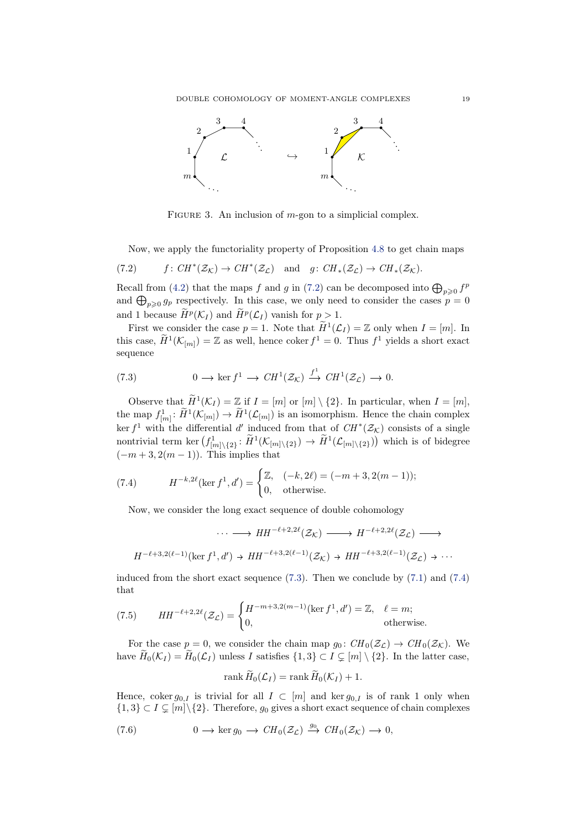<span id="page-18-0"></span>

FIGURE 3. An inclusion of  $m$ -gon to a simplicial complex.

<span id="page-18-1"></span>Now, we apply the functoriality property of Proposition [4.8](#page-9-1) to get chain maps

(7.2) 
$$
f: CH^*(\mathcal{Z}_\mathcal{K}) \to CH^*(\mathcal{Z}_\mathcal{L})
$$
 and  $g: CH_*(\mathcal{Z}_\mathcal{L}) \to CH_*(\mathcal{Z}_\mathcal{K})$ .

Recall from [\(4.2\)](#page-10-1) that the maps f and g in [\(7.2\)](#page-18-1) can be decomposed into  $\bigoplus_{p\geqslant 0} f^p$ and  $\bigoplus_{p\geqslant 0} g_p$  respectively. In this case, we only need to consider the cases  $p = 0$ and 1 because  $\widetilde{H}^p(\mathcal{K}_I)$  and  $\widetilde{H}^p(\mathcal{L}_I)$  vanish for  $p > 1$ .

First we consider the case  $p = 1$ . Note that  $\widetilde{H}^1(\mathcal{L}_I) = \mathbb{Z}$  only when  $I = [m]$ . In this case,  $H^1(\mathcal{K}_{[m]}) = \mathbb{Z}$  as well, hence coker  $f^1 = 0$ . Thus  $f^1$  yields a short exact sequence

<span id="page-18-2"></span>(7.3) 
$$
0 \longrightarrow \ker f^1 \longrightarrow CH^1(\mathcal{Z}_{\mathcal{K}}) \stackrel{f^1}{\longrightarrow} CH^1(\mathcal{Z}_{\mathcal{L}}) \longrightarrow 0.
$$

Observe that  $\tilde{H}^1(\mathcal{K}_I) = \mathbb{Z}$  if  $I = [m]$  or  $[m] \setminus \{2\}$ . In particular, when  $I = [m]$ , the map  $f_{[m]}^1: \widetilde{H}^1(\mathcal{K}_{[m]}) \to \widetilde{H}^1(\mathcal{L}_{[m]})$  is an isomorphism. Hence the chain complex ker  $f^1$  with the differential d' induced from that of  $CH^*(\mathcal{Z}_\mathcal{K})$  consists of a single nontrivial term ker  $(f_{[m]\setminus\{2\}}^1: \widetilde{H}^1(\mathcal{K}_{[m]\setminus\{2\}}) \to \widetilde{H}^1(\mathcal{L}_{[m]\setminus\{2\}}))$  which is of bidegree  $(-m+3, 2(m-1))$ . This implies that

(7.4) 
$$
H^{-k,2\ell}(\ker f^1, d') = \begin{cases} \mathbb{Z}, & (-k, 2\ell) = (-m+3, 2(m-1)); \\ 0, & \text{otherwise.} \end{cases}
$$

<span id="page-18-3"></span>Now, we consider the long exact sequence of double cohomology

$$
\cdots \longrightarrow HH^{-\ell+2,2\ell}(\mathcal{Z}_{\mathcal{K}}) \longrightarrow H^{-\ell+2,2\ell}(\mathcal{Z}_{\mathcal{L}}) \longrightarrow
$$
  

$$
H^{-\ell+3,2(\ell-1)}(\ker f^1, d') \to HH^{-\ell+3,2(\ell-1)}(\mathcal{Z}_{\mathcal{K}}) \to HH^{-\ell+3,2(\ell-1)}(\mathcal{Z}_{\mathcal{L}}) \to \cdots
$$

induced from the short exact sequence  $(7.3)$ . Then we conclude by  $(7.1)$  and  $(7.4)$ that

<span id="page-18-5"></span>(7.5) 
$$
HH^{-\ell+2,2\ell}(\mathcal{Z}_{\mathcal{L}}) = \begin{cases} H^{-m+3,2(m-1)}(\ker f^1, d') = \mathbb{Z}, & \ell = m; \\ 0, & \text{otherwise.} \end{cases}
$$

For the case  $p = 0$ , we consider the chain map  $g_0: CH_0(\mathcal{Z}_\mathcal{L}) \to CH_0(\mathcal{Z}_\mathcal{K})$ . We have  $H_0(\mathcal{K}_I) = H_0(\mathcal{L}_I)$  unless I satisfies  $\{1,3\} \subset I \subsetneq [m] \setminus \{2\}$ . In the latter case,

<span id="page-18-4"></span>
$$
\operatorname{rank} \widetilde{H}_0(\mathcal{L}_I) = \operatorname{rank} \widetilde{H}_0(\mathcal{K}_I) + 1.
$$

Hence, coker  $g_{0,I}$  is trivial for all  $I \subset [m]$  and ker  $g_{0,I}$  is of rank 1 only when  ${1,3} \subset I \subset [m]\backslash\{2\}$ . Therefore,  $g_0$  gives a short exact sequence of chain complexes

(7.6) 
$$
0 \longrightarrow \ker g_0 \longrightarrow CH_0(\mathcal{Z}_\mathcal{L}) \stackrel{g_0}{\longrightarrow} CH_0(\mathcal{Z}_\mathcal{K}) \longrightarrow 0,
$$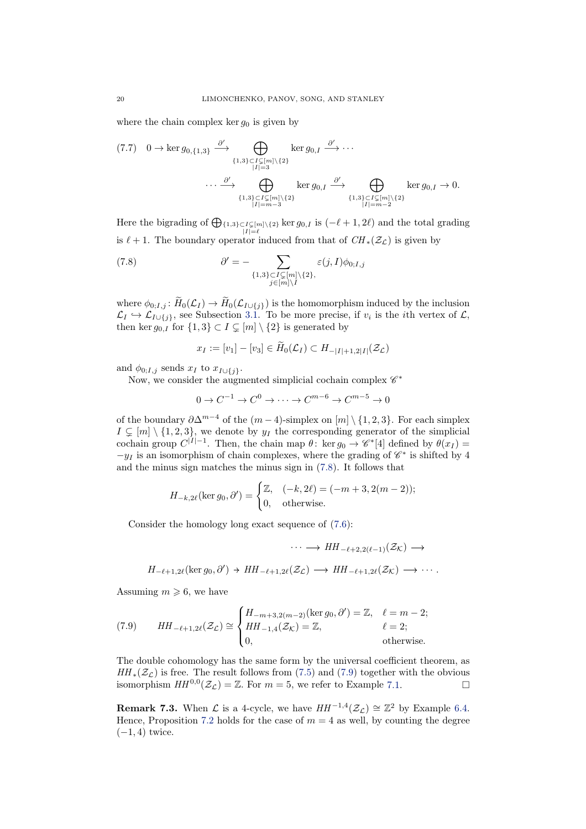where the chain complex ker  $g_0$  is given by

$$
(7.7) \quad 0 \to \ker g_{0,\{1,3\}} \xrightarrow{\partial'} \bigoplus_{\{1,3\} \subset I \subset [m] \setminus \{2\} \atop |I| = 3} \ker g_{0,I} \xrightarrow{\partial'} \cdots
$$

$$
\cdots \xrightarrow{\partial'} \bigoplus_{\{1,3\} \subset I \subsetneq [m] \setminus \{2\} \atop |I| = m - 3} \ker g_{0,I} \xrightarrow{\partial'} \bigoplus_{\{1,3\} \subset I \subsetneq [m] \setminus \{2\} \atop |I| = m - 2} \ker g_{0,I} \to 0.
$$

Here the bigrading of  $\bigoplus_{|I|=l} \{1,3\} \subset I \subsetneq [m]\setminus \{2\}$  ker  $g_{0,I}$  is  $(-l+1, 2l)$  and the total grading is  $\ell + 1$ . The boundary operator induced from that of  $CH_*(\mathcal{Z}_\mathcal{L})$  is given by

(7.8) 
$$
\partial' = - \sum_{\substack{\{1,3\} \subset I \subsetneq [m] \setminus \{2\}, \\ j \in [m] \setminus I}} \varepsilon(j, I) \phi_{0; I, j}
$$

where  $\phi_{0,I,j} : H_0(\mathcal{L}_I) \to H_0(\mathcal{L}_{I \cup \{j\}})$  is the homomorphism induced by the inclusion  $\mathcal{L}_I \hookrightarrow \mathcal{L}_{I \cup \{j\}}$ , see Subsection [3.1.](#page-4-2) To be more precise, if  $v_i$  is the *i*th vertex of  $\mathcal{L}$ , then ker  $g_{0,I}$  for  $\{1,3\} \subset I \subsetneq [m] \setminus \{2\}$  is generated by

<span id="page-19-0"></span>
$$
x_I := [v_1] - [v_3] \in H_0(\mathcal{L}_I) \subset H_{-|I|+1,2|I|}(\mathcal{Z}_\mathcal{L})
$$

and  $\phi_{0;I,j}$  sends  $x_I$  to  $x_{I\cup\{j\}}$ .

Now, we consider the augmented simplicial cochain complex  $\mathscr{C}^*$ 

$$
0 \to C^{-1} \to C^0 \to \cdots \to C^{m-6} \to C^{m-5} \to 0
$$

of the boundary  $\partial \Delta^{m-4}$  of the  $(m-4)$ -simplex on  $[m] \setminus \{1, 2, 3\}$ . For each simplex  $I \subsetneq [m] \setminus \{1, 2, 3\}$ , we denote by  $y_I$  the corresponding generator of the simplicial cochain group  $C^{|I|-1}$ . Then, the chain map  $\theta$ : ker  $g_0 \to \mathscr{C}^*[4]$  defined by  $\theta(x_I) =$  $-y_I$  is an isomorphism of chain complexes, where the grading of  $\mathscr{C}^*$  is shifted by 4 and the minus sign matches the minus sign in [\(7.8\)](#page-19-0). It follows that

$$
H_{-k,2\ell}(\ker g_0, \partial') = \begin{cases} \mathbb{Z}, & (-k, 2\ell) = (-m+3, 2(m-2)); \\ 0, & \text{otherwise.} \end{cases}
$$

Consider the homology long exact sequence of [\(7.6\)](#page-18-4):

$$
\cdots \longrightarrow HH_{-\ell+2,2(\ell-1)}(\mathcal{Z}_{\mathcal{K}}) \longrightarrow
$$
  

$$
H_{-\ell+1,2\ell}(\ker g_0,\partial') \to HH_{-\ell+1,2\ell}(\mathcal{Z}_{\mathcal{L}}) \longrightarrow HH_{-\ell+1,2\ell}(\mathcal{Z}_{\mathcal{K}}) \longrightarrow \cdots.
$$

Assuming  $m \geq 6$ , we have

<span id="page-19-1"></span>(7.9) 
$$
HH_{-\ell+1,2\ell}(\mathcal{Z}_{\mathcal{L}}) \cong \begin{cases} H_{-m+3,2(m-2)}(\ker g_0, \partial') = \mathbb{Z}, & \ell = m-2; \\ HH_{-1,4}(\mathcal{Z}_{\mathcal{K}}) = \mathbb{Z}, & \ell = 2; \\ 0, & \text{otherwise.} \end{cases}
$$

The double cohomology has the same form by the universal coefficient theorem, as  $HH_*(\mathcal{Z}_\mathcal{L})$  is free. The result follows from [\(7.5\)](#page-18-5) and [\(7.9\)](#page-19-1) together with the obvious isomorphism  $HH^{0,0}(\mathcal{Z}_{\mathcal{L}}) = \mathbb{Z}$ . For  $m = 5$ , we refer to Example [7.1.](#page-17-3)

**Remark 7.3.** When  $\mathcal L$  is a 4-cycle, we have  $HH^{-1,4}(\mathcal Z_{\mathcal L}) \cong \mathbb{Z}^2$  by Example [6.4.](#page-13-3) Hence, Proposition [7.2](#page-17-0) holds for the case of  $m = 4$  as well, by counting the degree  $(-1, 4)$  twice.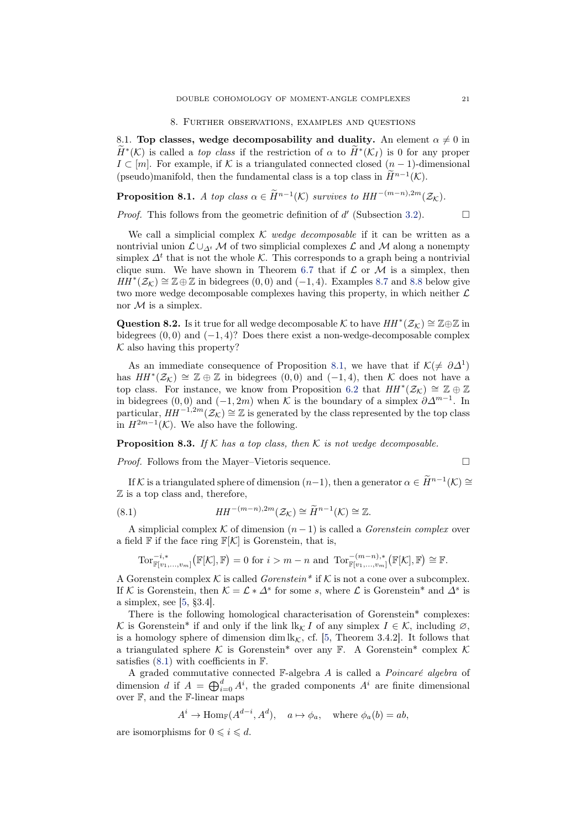#### 8. Further observations, examples and questions

<span id="page-20-0"></span>8.1. Top classes, wedge decomposability and duality. An element  $\alpha \neq 0$  in  $\widetilde{H}^*(\mathcal{K})$  is called a *top class* if the restriction of  $\alpha$  to  $\widetilde{H}^*(\mathcal{K}_I)$  is 0 for any proper  $I \subset [m]$ . For example, if K is a triangulated connected closed  $(n-1)$ -dimensional (pseudo)manifold, then the fundamental class is a top class in  $\hat{H}^{n-1}(\mathcal{K})$ .

<span id="page-20-1"></span>**Proposition 8.1.** A top class  $\alpha \in \widetilde{H}^{n-1}(\mathcal{K})$  survives to  $HH^{-(m-n),2m}(\mathcal{Z}_{\mathcal{K}})$ .

*Proof.* This follows from the geometric definition of  $d'$  (Subsection [3.2\)](#page-5-5).

We call a simplicial complex K wedge decomposable if it can be written as a nontrivial union  $\mathcal{L} \cup_{\Lambda^t} \mathcal{M}$  of two simplicial complexes  $\mathcal{L}$  and  $\mathcal{M}$  along a nonempty simplex  $\Delta^t$  that is not the whole K. This corresponds to a graph being a nontrivial clique sum. We have shown in Theorem [6.7](#page-15-0) that if  $\mathcal L$  or  $\mathcal M$  is a simplex, then  $HH^*(\mathcal{Z}_{\mathcal{K}}) \cong \mathbb{Z} \oplus \mathbb{Z}$  in bidegrees  $(0,0)$  and  $(-1,4)$ . Examples [8.7](#page-22-0) and [8.8](#page-23-0) below give two more wedge decomposable complexes having this property, in which neither  $\mathcal L$ nor  $M$  is a simplex.

Question 8.2. Is it true for all wedge decomposable K to have  $HH^*(\mathcal{Z}_\mathcal{K}) \cong \mathbb{Z} \oplus \mathbb{Z}$  in bidegrees  $(0,0)$  and  $(-1,4)$ ? Does there exist a non-wedge-decomposable complex  $K$  also having this property?

As an immediate consequence of Proposition [8.1,](#page-20-1) we have that if  $\mathcal{K}(\neq \partial \Delta^1)$ has  $HH^*(\mathcal{Z}_{\mathcal{K}}) \cong \mathbb{Z} \oplus \mathbb{Z}$  in bidegrees  $(0,0)$  and  $(-1,4)$ , then K does not have a top class. For instance, we know from Proposition [6.2](#page-12-1) that  $HH^*(\mathcal{Z}_\mathcal{K}) \cong \mathbb{Z} \oplus \mathbb{Z}$ in bidegrees (0,0) and (-1,2m) when K is the boundary of a simplex  $\partial \Delta^{m-1}$ . In particular,  $HH^{-1,2m}(\mathcal{Z}_\mathcal{K}) \cong \mathbb{Z}$  is generated by the class represented by the top class in  $H^{2m-1}(\mathcal{K})$ . We also have the following.

**Proposition 8.3.** If K has a top class, then K is not wedge decomposable.

*Proof.* Follows from the Mayer–Vietoris sequence.  $\Box$ 

If K is a triangulated sphere of dimension  $(n-1)$ , then a generator  $\alpha \in \widetilde{H}^{n-1}(\mathcal{K}) \cong$  $\mathbb Z$  is a top class and, therefore,

(8.1) 
$$
HH^{-(m-n),2m}(\mathcal{Z}_{\mathcal{K}}) \cong \widetilde{H}^{n-1}(\mathcal{K}) \cong \mathbb{Z}.
$$

A simplicial complex K of dimension  $(n-1)$  is called a *Gorenstein complex* over a field  $\mathbb F$  if the face ring  $\mathbb F[\mathcal{K}]$  is Gorenstein, that is,

<span id="page-20-2"></span>
$$
\operatorname{Tor}_{\mathbb{F}[v_1,\ldots,v_m]}^{-i,*}(\mathbb{F}[\mathcal{K}],\mathbb{F})=0 \text{ for } i>m-n \text{ and } \operatorname{Tor}_{\mathbb{F}[v_1,\ldots,v_m]}^{-(m-n),*}(\mathbb{F}[\mathcal{K}],\mathbb{F})\cong \mathbb{F}.
$$

A Gorenstein complex K is called  $Gorenstein^*$  if K is not a cone over a subcomplex. If K is Gorenstein, then  $\mathcal{K} = \mathcal{L} * \Delta^s$  for some s, where  $\mathcal L$  is Gorenstein<sup>\*</sup> and  $\Delta^s$  is a simplex, see [\[5,](#page-24-3) §3.4].

There is the following homological characterisation of Gorenstein\* complexes: K is Gorenstein\* if and only if the link  $\mathbb{R}_{\mathcal{K}} I$  of any simplex  $I \in \mathcal{K}$ , including  $\varnothing$ , is a homology sphere of dimension dim  $\iota k_{\mathcal{K}}$ , cf. [\[5,](#page-24-3) Theorem 3.4.2]. It follows that a triangulated sphere K is Gorenstein\* over any F. A Gorenstein\* complex K satisfies  $(8.1)$  with coefficients in  $\mathbb{F}$ .

A graded commutative connected  $\mathbb{F}-$ algebra A is called a *Poincaré algebra* of dimension d if  $A = \bigoplus_{i=0}^{d} A^i$ , the graded components  $A^i$  are finite dimensional over F, and the F-linear maps

$$
A^i \to \text{Hom}_{\mathbb{F}}(A^{d-i}, A^d), \quad a \mapsto \phi_a, \quad \text{where } \phi_a(b) = ab,
$$

are isomorphisms for  $0 \leq i \leq d$ .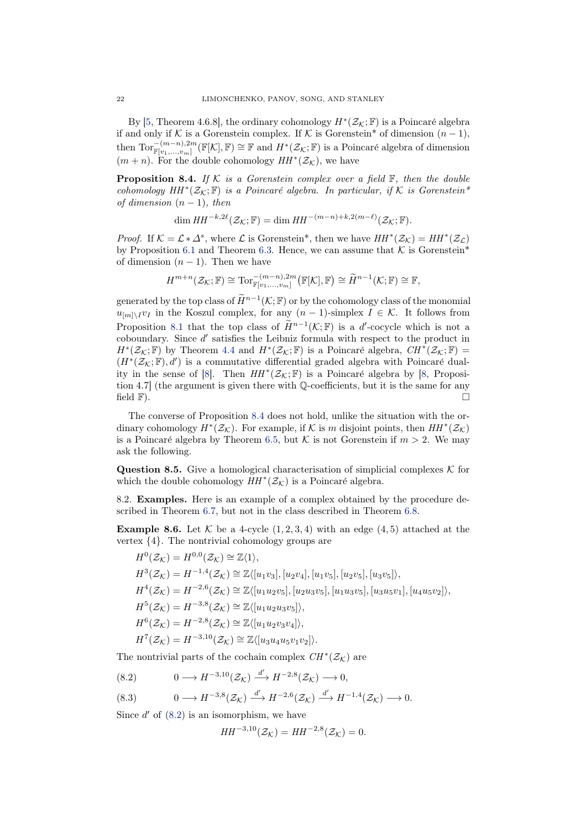By [\[5,](#page-24-3) Theorem 4.6.8], the ordinary cohomology  $H^*(\mathcal{Z}_{\mathcal{K}};\mathbb{F})$  is a Poincaré algebra if and only if K is a Gorenstein complex. If K is Gorenstein<sup>\*</sup> of dimension  $(n-1)$ , then  $\mathrm{Tor}_{\mathbb{F}[v_1,...,v_m]}^{-(m-n),2m}(\mathbb{F}[\mathcal{K}],\mathbb{F})\cong\mathbb{F}$  and  $H^*(\mathcal{Z}_{\mathcal{K}};\mathbb{F})$  is a Poincaré algebra of dimension  $(m+n)$ . For the double cohomology  $HH^*(\mathcal{Z}_\mathcal{K})$ , we have

<span id="page-21-0"></span>**Proposition 8.4.** If K is a Gorenstein complex over a field  $\mathbb{F}$ , then the double cohomology  $HH^*(\mathcal{Z}_{\mathcal{K}}; \mathbb{F})$  is a Poincaré algebra. In particular, if K is Gorenstein\* of dimension  $(n - 1)$ , then

$$
\dim HH^{-k,2\ell}(\mathcal{Z}_{\mathcal{K}};\mathbb{F}) = \dim HH^{-(m-n)+k,2(m-\ell)}(\mathcal{Z}_{\mathcal{K}};\mathbb{F}).
$$

*Proof.* If  $K = \mathcal{L} * \Delta^s$ , where  $\mathcal{L}$  is Gorenstein<sup>\*</sup>, then we have  $HH^*(\mathcal{Z}_\mathcal{K}) = HH^*(\mathcal{Z}_\mathcal{L})$ by Proposition [6.1](#page-11-0) and Theorem [6.3.](#page-12-0) Hence, we can assume that  $K$  is Gorenstein<sup>\*</sup> of dimension  $(n - 1)$ . Then we have

$$
H^{m+n}(\mathcal{Z}_{\mathcal{K}};\mathbb{F}) \cong \mathrm{Tor}_{\mathbb{F}[v_1,\ldots,v_m]}^{-(m-n),2m}(\mathbb{F}[\mathcal{K}],\mathbb{F}) \cong \widetilde{H}^{n-1}(\mathcal{K};\mathbb{F}) \cong \mathbb{F},
$$

generated by the top class of  $H^{n-1}(\mathcal{K}; \mathbb{F})$  or by the cohomology class of the monomial  $u_{[m]\setminus I}v_I$  in the Koszul complex, for any  $(n-1)$ -simplex  $I \in \mathcal{K}$ . It follows from Proposition [8.1](#page-20-1) that the top class of  $H^{n-1}(\mathcal{K};\mathbb{F})$  is a d'-cocycle which is not a coboundary. Since d' satisfies the Leibniz formula with respect to the product in  $H^*(\mathcal{Z}_\mathcal{K};\mathbb{F})$  by Theorem [4.4](#page-8-0) and  $H^*(\mathcal{Z}_\mathcal{K};\mathbb{F})$  is a Poincaré algebra,  $CH^*(\mathcal{Z}_\mathcal{K};\mathbb{F})$  =  $(H^*(\mathcal{Z}_\mathcal{K};\mathbb{F}),d')$  is a commutative differential graded algebra with Poincaré dual-ity in the sense of [\[8\]](#page-24-9). Then  $HH^*(\mathcal{Z}_{\mathcal{K}}; \mathbb{F})$  is a Poincaré algebra by [\[8,](#page-24-9) Proposition 4.7] (the argument is given there with Q-coefficients, but it is the same for any field  $\mathbb{F}$ ).

The converse of Proposition [8.4](#page-21-0) does not hold, unlike the situation with the ordinary cohomology  $H^*(\mathcal{Z}_\mathcal{K})$ . For example, if  $\mathcal K$  is m disjoint points, then  $HH^*(\mathcal{Z}_\mathcal{K})$ is a Poincaré algebra by Theorem [6.5,](#page-13-2) but K is not Gorenstein if  $m > 2$ . We may ask the following.

**Question 8.5.** Give a homological characterisation of simplicial complexes  $\mathcal K$  for which the double cohomology  $HH^*(\mathcal{Z}_\mathcal{K})$  is a Poincaré algebra.

<span id="page-21-1"></span>8.2. Examples. Here is an example of a complex obtained by the procedure de-scribed in Theorem [6.7,](#page-15-0) but not in the class described in Theorem [6.8.](#page-16-0)

**Example 8.6.** Let  $\mathcal{K}$  be a 4-cycle  $(1, 2, 3, 4)$  with an edge  $(4, 5)$  attached at the vertex {4}. The nontrivial cohomology groups are

$$
H^{0}(\mathcal{Z}_{\mathcal{K}}) = H^{0,0}(\mathcal{Z}_{\mathcal{K}}) \cong \mathbb{Z}\langle 1 \rangle,
$$
  
\n
$$
H^{3}(\mathcal{Z}_{\mathcal{K}}) = H^{-1,4}(\mathcal{Z}_{\mathcal{K}}) \cong \mathbb{Z}\langle [u_{1}v_{3}], [u_{2}v_{4}], [u_{1}v_{5}], [u_{2}v_{5}], [u_{3}v_{5}] \rangle,
$$
  
\n
$$
H^{4}(\mathcal{Z}_{\mathcal{K}}) = H^{-2,6}(\mathcal{Z}_{\mathcal{K}}) \cong \mathbb{Z}\langle [u_{1}u_{2}v_{5}], [u_{2}u_{3}v_{5}], [u_{1}u_{3}v_{5}], [u_{3}u_{5}v_{1}], [u_{4}u_{5}v_{2}] \rangle,
$$
  
\n
$$
H^{5}(\mathcal{Z}_{\mathcal{K}}) = H^{-3,8}(\mathcal{Z}_{\mathcal{K}}) \cong \mathbb{Z}\langle [u_{1}u_{2}v_{3}v_{4}] \rangle,
$$
  
\n
$$
H^{6}(\mathcal{Z}_{\mathcal{K}}) = H^{-2,8}(\mathcal{Z}_{\mathcal{K}}) \cong \mathbb{Z}\langle [u_{3}u_{4}u_{5}v_{1}v_{2}] \rangle.
$$

The nontrivial parts of the cochain complex  $CH^*(\mathcal{Z}_{\mathcal{K}})$  are

<span id="page-21-2"></span>
$$
(8.2) \t 0 \longrightarrow H^{-3,10}(\mathcal{Z}_{\mathcal{K}}) \stackrel{d'}{\longrightarrow} H^{-2,8}(\mathcal{Z}_{\mathcal{K}}) \longrightarrow 0,
$$

<span id="page-21-3"></span>(8.3) 
$$
0 \longrightarrow H^{-3,8}(\mathcal{Z}_{\mathcal{K}}) \xrightarrow{d'} H^{-2,6}(\mathcal{Z}_{\mathcal{K}}) \xrightarrow{d'} H^{-1,4}(\mathcal{Z}_{\mathcal{K}}) \longrightarrow 0.
$$

Since  $d'$  of  $(8.2)$  is an isomorphism, we have

 $HH^{-3,10}(\mathcal{Z}_{\mathcal{K}}) = HH^{-2,8}(\mathcal{Z}_{\mathcal{K}}) = 0.$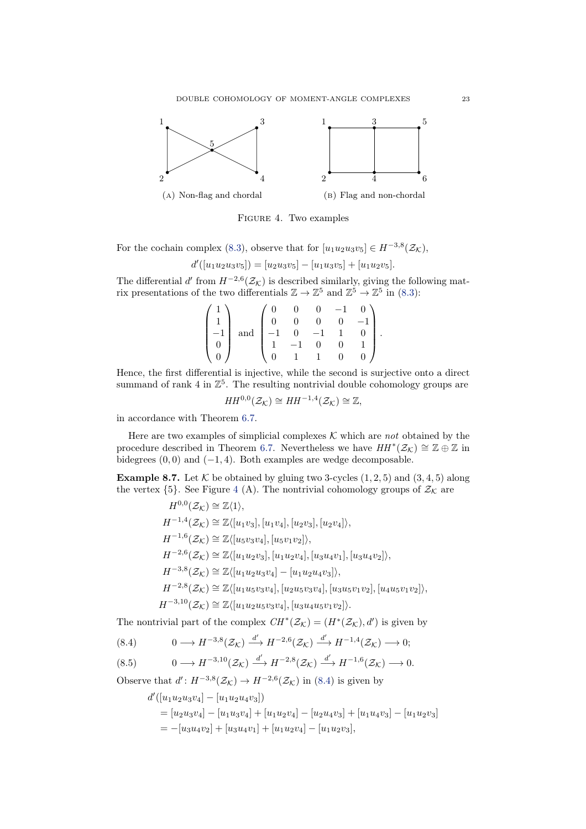<span id="page-22-1"></span>

Figure 4. Two examples

For the cochain complex [\(8.3\)](#page-21-3), observe that for  $[u_1u_2u_3v_5] \in H^{-3,8}(\mathcal{Z}_\mathcal{K}),$ 

$$
d'([u_1u_2u_3v_5]) = [u_2u_3v_5] - [u_1u_3v_5] + [u_1u_2v_5].
$$

The differential d' from  $H^{-2,6}(\mathcal{Z}_\mathcal{K})$  is described similarly, giving the following matrix presentations of the two differentials  $\mathbb{Z} \to \mathbb{Z}^5$  and  $\mathbb{Z}^5 \to \mathbb{Z}^5$  in [\(8.3\)](#page-21-3):

|              |                    |                                                           | $\overline{0}$ |  |  |
|--------------|--------------------|-----------------------------------------------------------|----------------|--|--|
| $\mathbf{1}$ |                    |                                                           | $\overline{0}$ |  |  |
| $-1$         | and $\,$ $\,$ $\,$ | $\begin{bmatrix} -1 & 0 & -1 \\ 1 & -1 & 0 \end{bmatrix}$ |                |  |  |
|              |                    |                                                           |                |  |  |
|              |                    |                                                           |                |  |  |

Hence, the first differential is injective, while the second is surjective onto a direct summand of rank 4 in  $\mathbb{Z}^5$ . The resulting nontrivial double cohomology groups are

$$
HH^{0,0}(\mathcal{Z}_{\mathcal{K}})\cong HH^{-1,4}(\mathcal{Z}_{\mathcal{K}})\cong\mathbb{Z},
$$

in accordance with Theorem [6.7.](#page-15-0)

Here are two examples of simplicial complexes  $K$  which are not obtained by the procedure described in Theorem [6.7.](#page-15-0) Nevertheless we have  $HH^*(\mathcal{Z}_\mathcal{K}) \cong \mathbb{Z} \oplus \mathbb{Z}$  in bidegrees  $(0, 0)$  and  $(-1, 4)$ . Both examples are wedge decomposable.

<span id="page-22-0"></span>**Example 8.7.** Let  $K$  be obtained by gluing two 3-cycles  $(1, 2, 5)$  and  $(3, 4, 5)$  along the vertex  $\{5\}$ . See Figure [4](#page-22-1) (A). The nontrivial cohomology groups of  $\mathcal{Z}_\mathcal{K}$  are

$$
H^{0,0}(\mathcal{Z}_{\mathcal{K}}) \cong \mathbb{Z}\langle 1 \rangle,
$$
  
\n
$$
H^{-1,4}(\mathcal{Z}_{\mathcal{K}}) \cong \mathbb{Z}\langle [u_1v_3], [u_1v_4], [u_2v_3], [u_2v_4] \rangle,
$$
  
\n
$$
H^{-1,6}(\mathcal{Z}_{\mathcal{K}}) \cong \mathbb{Z}\langle [u_5v_3v_4], [u_5v_1v_2] \rangle,
$$
  
\n
$$
H^{-2,6}(\mathcal{Z}_{\mathcal{K}}) \cong \mathbb{Z}\langle [u_1u_2v_3], [u_1u_2v_4], [u_3u_4v_1], [u_3u_4v_2] \rangle,
$$
  
\n
$$
H^{-3,8}(\mathcal{Z}_{\mathcal{K}}) \cong \mathbb{Z}\langle [u_1u_2u_3v_4] - [u_1u_2u_4v_3] \rangle,
$$
  
\n
$$
H^{-2,8}(\mathcal{Z}_{\mathcal{K}}) \cong \mathbb{Z}\langle [u_1u_5v_3v_4], [u_2u_5v_3v_4], [u_3u_5v_1v_2], [u_4u_5v_1v_2] \rangle,
$$
  
\n
$$
H^{-3,10}(\mathcal{Z}_{\mathcal{K}}) \cong \mathbb{Z}\langle [u_1u_2u_5v_3v_4], [u_3u_4u_5v_1v_2] \rangle.
$$

The nontrivial part of the complex  $CH^*(\mathcal{Z}_\mathcal{K}) = (H^*(\mathcal{Z}_\mathcal{K}), d')$  is given by

<span id="page-22-2"></span>(8.4) 
$$
0 \longrightarrow H^{-3,8}(\mathcal{Z}_{\mathcal{K}}) \xrightarrow{d'} H^{-2,6}(\mathcal{Z}_{\mathcal{K}}) \xrightarrow{d'} H^{-1,4}(\mathcal{Z}_{\mathcal{K}}) \longrightarrow 0;
$$

<span id="page-22-3"></span>
$$
(8.5) \t 0 \longrightarrow H^{-3,10}(\mathcal{Z}_{\mathcal{K}}) \xrightarrow{d'} H^{-2,8}(\mathcal{Z}_{\mathcal{K}}) \xrightarrow{d'} H^{-1,6}(\mathcal{Z}_{\mathcal{K}}) \longrightarrow 0.
$$

Observe that  $d' : H^{-3,8}(\mathcal{Z}_{\mathcal{K}}) \to H^{-2,6}(\mathcal{Z}_{\mathcal{K}})$  in [\(8.4\)](#page-22-2) is given by

$$
d'([u_1u_2u_3v_4] - [u_1u_2u_4v_3])
$$
  
=  $[u_2u_3v_4] - [u_1u_3v_4] + [u_1u_2v_4] - [u_2u_4v_3] + [u_1u_4v_3] - [u_1u_2v_3]$   
=  $-[u_3u_4v_2] + [u_3u_4v_1] + [u_1u_2v_4] - [u_1u_2v_3],$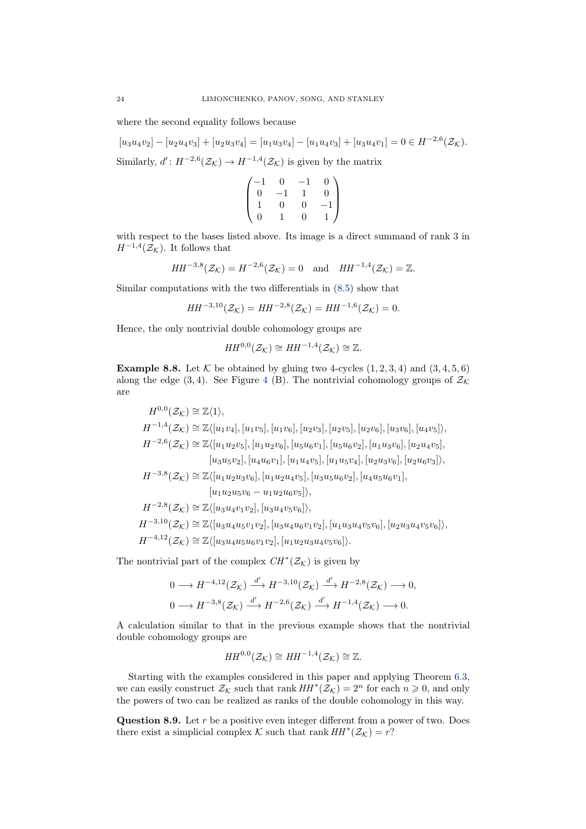where the second equality follows because

 $[u_3u_4v_2] - [u_2u_4v_3] + [u_2u_3v_4] = [u_1u_3v_4] - [u_1u_4v_3] + [u_3u_4v_1] = 0 \in H^{-2,6}(\mathcal{Z}_{\mathcal{K}}).$ Similarly,  $d' : H^{-2,6}(\mathcal{Z}_{\mathcal{K}}) \to H^{-1,4}(\mathcal{Z}_{\mathcal{K}})$  is given by the matrix

$$
\begin{pmatrix} -1 & 0 & -1 & 0 \ 0 & -1 & 1 & 0 \ 1 & 0 & 0 & -1 \ 0 & 1 & 0 & 1 \end{pmatrix}
$$

with respect to the bases listed above. Its image is a direct summand of rank 3 in  $H^{-1,4}(\mathcal{Z}_{\mathcal{K}})$ . It follows that

$$
HH^{-3,8}(\mathcal{Z}_{\mathcal{K}}) = H^{-2,6}(\mathcal{Z}_{\mathcal{K}}) = 0 \quad \text{and} \quad HH^{-1,4}(\mathcal{Z}_{\mathcal{K}}) = \mathbb{Z}.
$$

Similar computations with the two differentials in [\(8.5\)](#page-22-3) show that

$$
HH^{-3,10}(\mathcal{Z}_{\mathcal{K}}) = HH^{-2,8}(\mathcal{Z}_{\mathcal{K}}) = HH^{-1,6}(\mathcal{Z}_{\mathcal{K}}) = 0.
$$

Hence, the only nontrivial double cohomology groups are

$$
HH^{0,0}(\mathcal{Z}_{\mathcal{K}})\cong HH^{-1,4}(\mathcal{Z}_{\mathcal{K}})\cong\mathbb{Z}.
$$

<span id="page-23-0"></span>**Example 8.8.** Let  $K$  be obtained by gluing two 4-cycles  $(1, 2, 3, 4)$  and  $(3, 4, 5, 6)$ along the edge (3, [4](#page-22-1)). See Figure 4 (B). The nontrivial cohomology groups of  $\mathcal{Z}_\mathcal{K}$ are

 $H^{0,0}(\mathcal{Z}_{\mathcal{K}})\cong \mathbb{Z}\langle 1\rangle,$  $H^{-1,4}(\mathcal{Z}_{\mathcal{K}}) \cong \mathbb{Z}\langle [u_1v_4],[u_1v_5],[u_1v_6],[u_2v_3],[u_2v_5],[u_2v_6],[u_3v_6],[u_4v_5]\rangle,$  $H^{-2,6}(\mathcal{Z}_{\mathcal{K}}) \cong \mathbb{Z}\langle [u_1u_2v_5], [u_1u_2v_6], [u_5u_6v_1], [u_5u_6v_2], [u_1u_3v_6], [u_2u_4v_5],$  $[u_3u_5v_2], [u_4u_6v_1], [u_1u_4v_5], [u_1u_5v_4], [u_2u_3v_6], [u_2u_6v_3]\rangle,$  $H^{-3,8}(\mathcal{Z}_{\mathcal{K}}) \cong \mathbb{Z}\langle [u_1u_2u_3v_6], [u_1u_2u_4v_5], [u_3u_5u_6v_2], [u_4u_5u_6v_1],$  $[u_1u_2u_5v_6 - u_1u_2u_6v_5]\rangle,$  $H^{-2,8}(\mathcal{Z}_{\mathcal{K}}) \cong \mathbb{Z}\langle [u_3 u_4 v_1 v_2], [u_3 u_4 v_5 v_6]\rangle,$  $H^{-3,10}(\mathcal{Z}_{\mathcal{K}}) \cong \mathbb{Z}\langle [u_3u_4u_5v_1v_2], [u_3u_4u_6v_1v_2], [u_1u_3u_4v_5v_6], [u_2u_3u_4v_5v_6] \rangle,$  $H^{-4,12}(\mathcal{Z}_{\mathcal{K}}) \cong \mathbb{Z}\langle [u_3u_4u_5u_6v_1v_2], [u_1u_2u_3u_4v_5v_6]\rangle.$ 

The nontrivial part of the complex  $CH^*(\mathcal{Z}_\mathcal{K})$  is given by

$$
0 \longrightarrow H^{-4,12}(\mathcal{Z}_{\mathcal{K}}) \xrightarrow{d'} H^{-3,10}(\mathcal{Z}_{\mathcal{K}}) \xrightarrow{d'} H^{-2,8}(\mathcal{Z}_{\mathcal{K}}) \longrightarrow 0,
$$
  

$$
0 \longrightarrow H^{-3,8}(\mathcal{Z}_{\mathcal{K}}) \xrightarrow{d'} H^{-2,6}(\mathcal{Z}_{\mathcal{K}}) \xrightarrow{d'} H^{-1,4}(\mathcal{Z}_{\mathcal{K}}) \longrightarrow 0.
$$

A calculation similar to that in the previous example shows that the nontrivial double cohomology groups are

$$
HH^{0,0}(\mathcal{Z}_{\mathcal{K}})\cong HH^{-1,4}(\mathcal{Z}_{\mathcal{K}})\cong\mathbb{Z}.
$$

Starting with the examples considered in this paper and applying Theorem [6.3,](#page-12-0) we can easily construct  $\mathcal{Z}_\mathcal{K}$  such that rank  $HH^*(\mathcal{Z}_\mathcal{K}) = 2^n$  for each  $n \geq 0$ , and only the powers of two can be realized as ranks of the double cohomology in this way.

<span id="page-23-1"></span>**Question 8.9.** Let  $r$  be a positive even integer different from a power of two. Does there exist a simplicial complex K such that rank  $HH^*(\mathcal{Z}_\mathcal{K}) = r$ ?